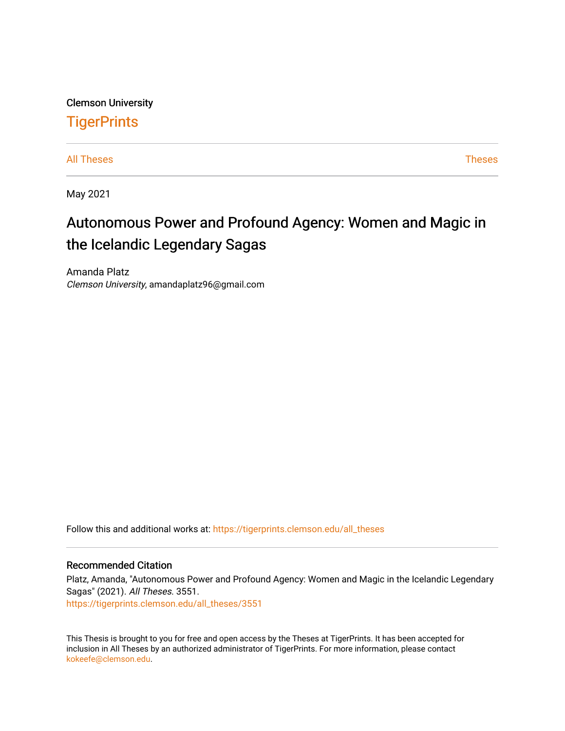Clemson University

## **TigerPrints**

[All Theses](https://tigerprints.clemson.edu/all_theses) **Theses** [Theses](https://tigerprints.clemson.edu/theses) **Theses** 

May 2021

# Autonomous Power and Profound Agency: Women and Magic in the Icelandic Legendary Sagas

Amanda Platz Clemson University, amandaplatz96@gmail.com

Follow this and additional works at: [https://tigerprints.clemson.edu/all\\_theses](https://tigerprints.clemson.edu/all_theses?utm_source=tigerprints.clemson.edu%2Fall_theses%2F3551&utm_medium=PDF&utm_campaign=PDFCoverPages) 

#### Recommended Citation

Platz, Amanda, "Autonomous Power and Profound Agency: Women and Magic in the Icelandic Legendary Sagas" (2021). All Theses. 3551. [https://tigerprints.clemson.edu/all\\_theses/3551](https://tigerprints.clemson.edu/all_theses/3551?utm_source=tigerprints.clemson.edu%2Fall_theses%2F3551&utm_medium=PDF&utm_campaign=PDFCoverPages) 

This Thesis is brought to you for free and open access by the Theses at TigerPrints. It has been accepted for inclusion in All Theses by an authorized administrator of TigerPrints. For more information, please contact [kokeefe@clemson.edu](mailto:kokeefe@clemson.edu).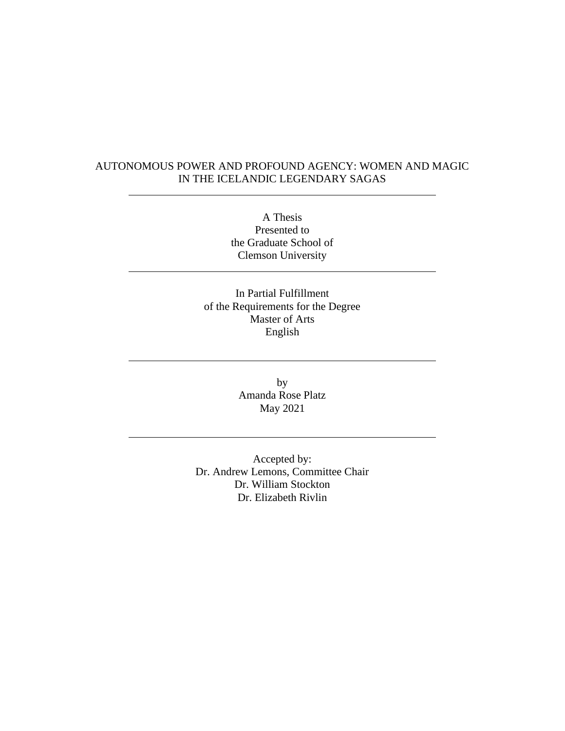## AUTONOMOUS POWER AND PROFOUND AGENCY: WOMEN AND MAGIC IN THE ICELANDIC LEGENDARY SAGAS

A Thesis Presented to the Graduate School of Clemson University

In Partial Fulfillment of the Requirements for the Degree Master of Arts English

> by Amanda Rose Platz May 2021

Accepted by: Dr. Andrew Lemons, Committee Chair Dr. William Stockton Dr. Elizabeth Rivlin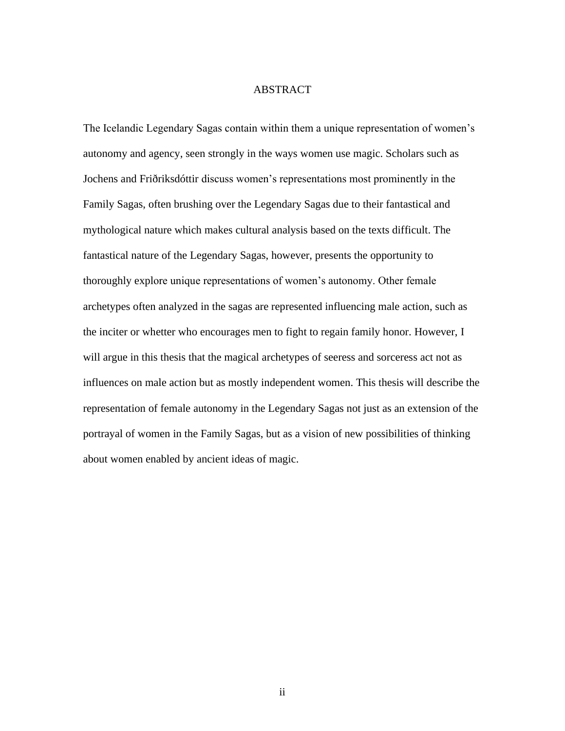## ABSTRACT

The Icelandic Legendary Sagas contain within them a unique representation of women's autonomy and agency, seen strongly in the ways women use magic. Scholars such as Jochens and Friðriksdóttir discuss women's representations most prominently in the Family Sagas, often brushing over the Legendary Sagas due to their fantastical and mythological nature which makes cultural analysis based on the texts difficult. The fantastical nature of the Legendary Sagas, however, presents the opportunity to thoroughly explore unique representations of women's autonomy. Other female archetypes often analyzed in the sagas are represented influencing male action, such as the inciter or whetter who encourages men to fight to regain family honor. However, I will argue in this thesis that the magical archetypes of seeress and sorceress act not as influences on male action but as mostly independent women. This thesis will describe the representation of female autonomy in the Legendary Sagas not just as an extension of the portrayal of women in the Family Sagas, but as a vision of new possibilities of thinking about women enabled by ancient ideas of magic.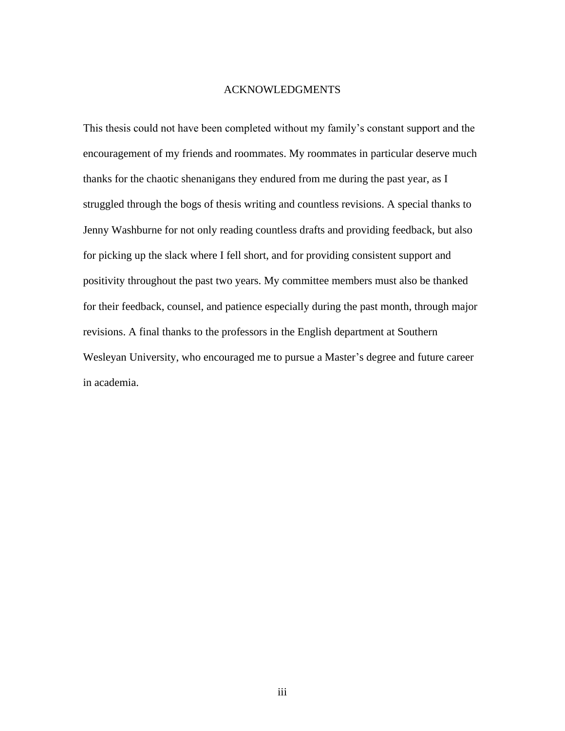#### ACKNOWLEDGMENTS

This thesis could not have been completed without my family's constant support and the encouragement of my friends and roommates. My roommates in particular deserve much thanks for the chaotic shenanigans they endured from me during the past year, as I struggled through the bogs of thesis writing and countless revisions. A special thanks to Jenny Washburne for not only reading countless drafts and providing feedback, but also for picking up the slack where I fell short, and for providing consistent support and positivity throughout the past two years. My committee members must also be thanked for their feedback, counsel, and patience especially during the past month, through major revisions. A final thanks to the professors in the English department at Southern Wesleyan University, who encouraged me to pursue a Master's degree and future career in academia.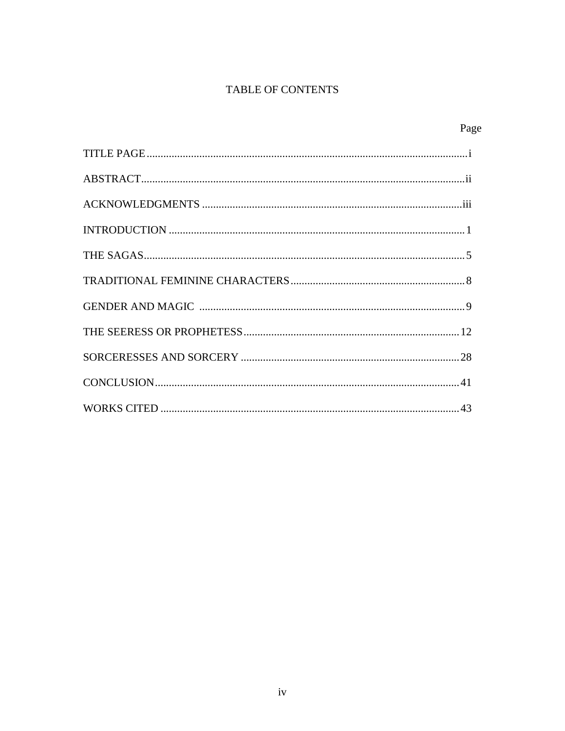## TABLE OF CONTENTS

Page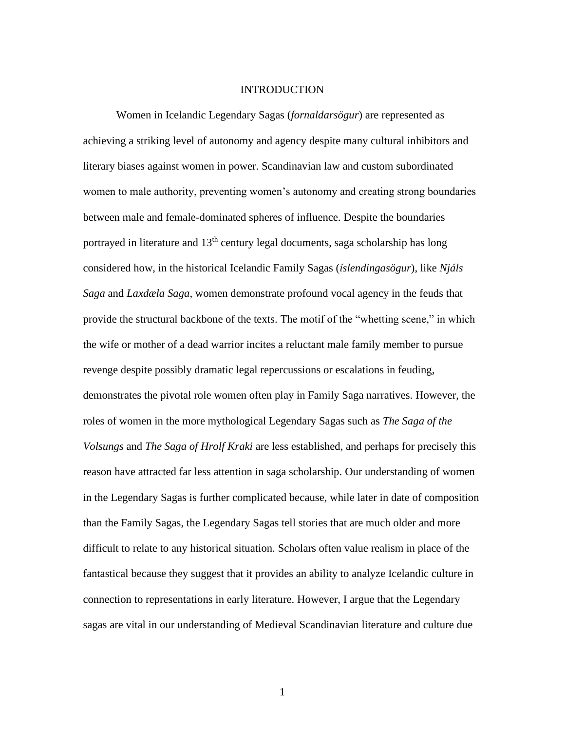#### INTRODUCTION

Women in Icelandic Legendary Sagas (*fornaldarsögur*) are represented as achieving a striking level of autonomy and agency despite many cultural inhibitors and literary biases against women in power. Scandinavian law and custom subordinated women to male authority, preventing women's autonomy and creating strong boundaries between male and female-dominated spheres of influence. Despite the boundaries portrayed in literature and  $13<sup>th</sup>$  century legal documents, saga scholarship has long considered how, in the historical Icelandic Family Sagas (*íslendingasögur*), like *Njáls Saga* and *Laxdæla Saga*, women demonstrate profound vocal agency in the feuds that provide the structural backbone of the texts. The motif of the "whetting scene," in which the wife or mother of a dead warrior incites a reluctant male family member to pursue revenge despite possibly dramatic legal repercussions or escalations in feuding, demonstrates the pivotal role women often play in Family Saga narratives. However, the roles of women in the more mythological Legendary Sagas such as *The Saga of the Volsungs* and *The Saga of Hrolf Kraki* are less established, and perhaps for precisely this reason have attracted far less attention in saga scholarship. Our understanding of women in the Legendary Sagas is further complicated because, while later in date of composition than the Family Sagas, the Legendary Sagas tell stories that are much older and more difficult to relate to any historical situation. Scholars often value realism in place of the fantastical because they suggest that it provides an ability to analyze Icelandic culture in connection to representations in early literature. However, I argue that the Legendary sagas are vital in our understanding of Medieval Scandinavian literature and culture due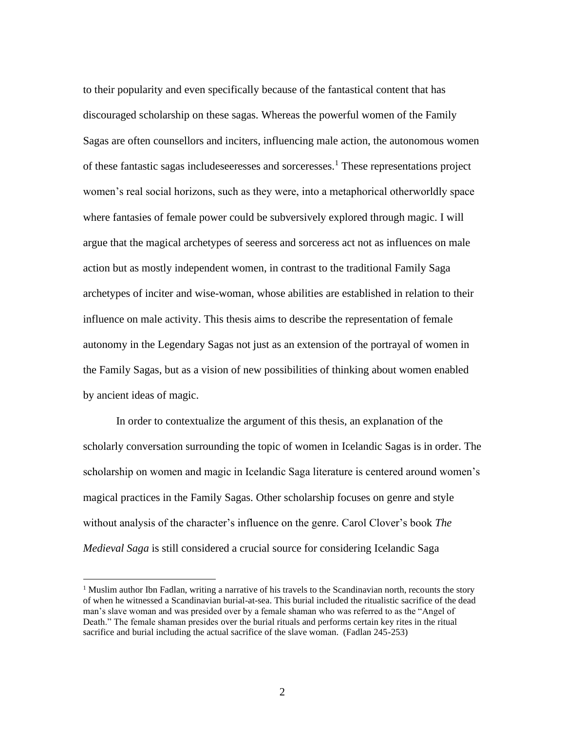to their popularity and even specifically because of the fantastical content that has discouraged scholarship on these sagas. Whereas the powerful women of the Family Sagas are often counsellors and inciters, influencing male action, the autonomous women of these fantastic sagas includeseeresses and sorceresses.<sup>1</sup> These representations project women's real social horizons, such as they were, into a metaphorical otherworldly space where fantasies of female power could be subversively explored through magic. I will argue that the magical archetypes of seeress and sorceress act not as influences on male action but as mostly independent women, in contrast to the traditional Family Saga archetypes of inciter and wise-woman, whose abilities are established in relation to their influence on male activity. This thesis aims to describe the representation of female autonomy in the Legendary Sagas not just as an extension of the portrayal of women in the Family Sagas, but as a vision of new possibilities of thinking about women enabled by ancient ideas of magic.

In order to contextualize the argument of this thesis, an explanation of the scholarly conversation surrounding the topic of women in Icelandic Sagas is in order. The scholarship on women and magic in Icelandic Saga literature is centered around women's magical practices in the Family Sagas. Other scholarship focuses on genre and style without analysis of the character's influence on the genre. Carol Clover's book *The Medieval Saga* is still considered a crucial source for considering Icelandic Saga

<sup>&</sup>lt;sup>1</sup> Muslim author Ibn Fadlan, writing a narrative of his travels to the Scandinavian north, recounts the story of when he witnessed a Scandinavian burial-at-sea. This burial included the ritualistic sacrifice of the dead man's slave woman and was presided over by a female shaman who was referred to as the "Angel of Death." The female shaman presides over the burial rituals and performs certain key rites in the ritual sacrifice and burial including the actual sacrifice of the slave woman. (Fadlan 245-253)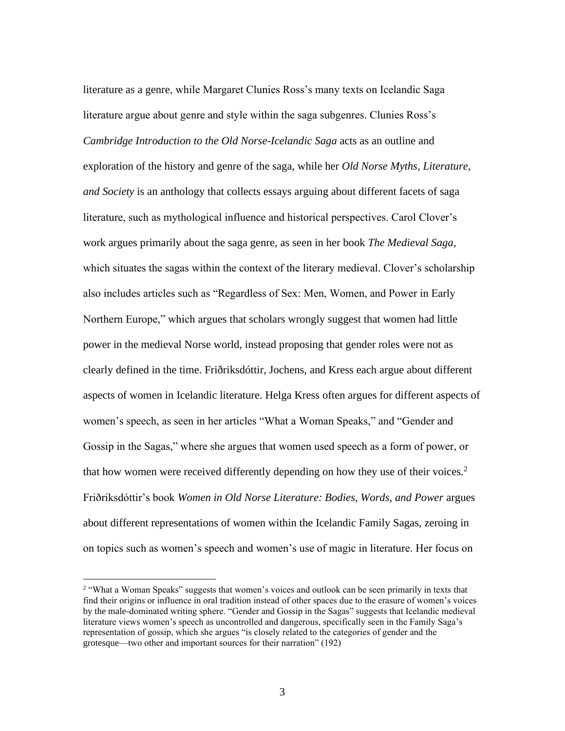literature as a genre, while Margaret Clunies Ross's many texts on Icelandic Saga literature argue about genre and style within the saga subgenres. Clunies Ross's *Cambridge Introduction to the Old Norse-Icelandic Saga* acts as an outline and exploration of the history and genre of the saga, while her *Old Norse Myths, Literature, and Society* is an anthology that collects essays arguing about different facets of saga literature, such as mythological influence and historical perspectives. Carol Clover's work argues primarily about the saga genre, as seen in her book *The Medieval Saga*, which situates the sagas within the context of the literary medieval. Clover's scholarship also includes articles such as "Regardless of Sex: Men, Women, and Power in Early Northern Europe," which argues that scholars wrongly suggest that women had little power in the medieval Norse world, instead proposing that gender roles were not as clearly defined in the time. Friðriksdóttir, Jochens, and Kress each argue about different aspects of women in Icelandic literature. Helga Kress often argues for different aspects of women's speech, as seen in her articles "What a Woman Speaks," and "Gender and Gossip in the Sagas," where she argues that women used speech as a form of power, or that how women were received differently depending on how they use of their voices.<sup>2</sup> Friðriksdóttir's book *Women in Old Norse Literature: Bodies, Words, and Power* argues about different representations of women within the Icelandic Family Sagas, zeroing in on topics such as women's speech and women's use of magic in literature. Her focus on

<sup>&</sup>lt;sup>2</sup> "What a Woman Speaks" suggests that women's voices and outlook can be seen primarily in texts that find their origins or influence in oral tradition instead of other spaces due to the erasure of women's voices by the male-dominated writing sphere. "Gender and Gossip in the Sagas" suggests that Icelandic medieval literature views women's speech as uncontrolled and dangerous, specifically seen in the Family Saga's representation of gossip, which she argues "is closely related to the categories of gender and the grotesque—two other and important sources for their narration" (192)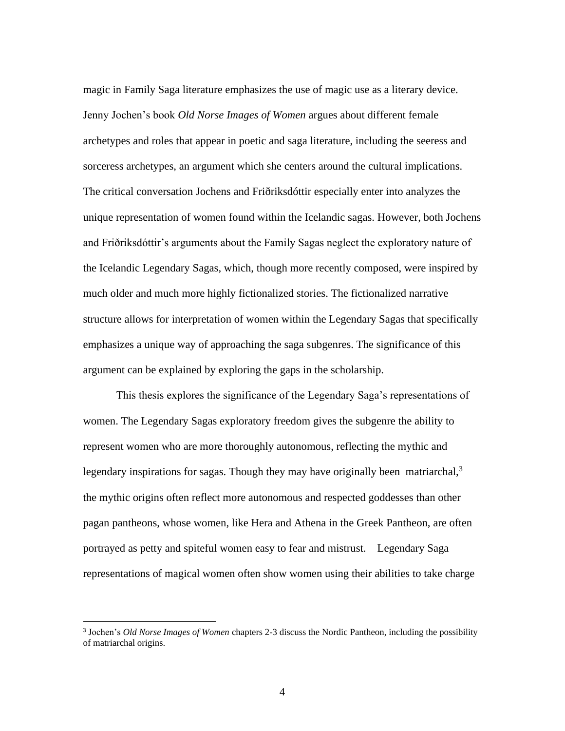magic in Family Saga literature emphasizes the use of magic use as a literary device. Jenny Jochen's book *Old Norse Images of Women* argues about different female archetypes and roles that appear in poetic and saga literature, including the seeress and sorceress archetypes, an argument which she centers around the cultural implications. The critical conversation Jochens and Friðriksdóttir especially enter into analyzes the unique representation of women found within the Icelandic sagas. However, both Jochens and Friðriksdóttir's arguments about the Family Sagas neglect the exploratory nature of the Icelandic Legendary Sagas, which, though more recently composed, were inspired by much older and much more highly fictionalized stories. The fictionalized narrative structure allows for interpretation of women within the Legendary Sagas that specifically emphasizes a unique way of approaching the saga subgenres. The significance of this argument can be explained by exploring the gaps in the scholarship.

This thesis explores the significance of the Legendary Saga's representations of women. The Legendary Sagas exploratory freedom gives the subgenre the ability to represent women who are more thoroughly autonomous, reflecting the mythic and legendary inspirations for sagas. Though they may have originally been matriarchal, $3$ the mythic origins often reflect more autonomous and respected goddesses than other pagan pantheons, whose women, like Hera and Athena in the Greek Pantheon, are often portrayed as petty and spiteful women easy to fear and mistrust. Legendary Saga representations of magical women often show women using their abilities to take charge

<sup>3</sup> Jochen's *Old Norse Images of Women* chapters 2-3 discuss the Nordic Pantheon, including the possibility of matriarchal origins.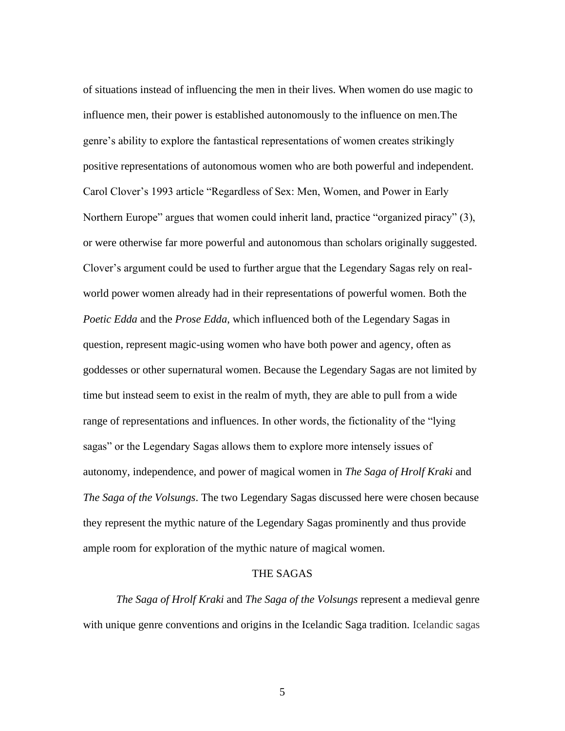of situations instead of influencing the men in their lives. When women do use magic to influence men, their power is established autonomously to the influence on men.The genre's ability to explore the fantastical representations of women creates strikingly positive representations of autonomous women who are both powerful and independent. Carol Clover's 1993 article "Regardless of Sex: Men, Women, and Power in Early Northern Europe" argues that women could inherit land, practice "organized piracy" (3), or were otherwise far more powerful and autonomous than scholars originally suggested. Clover's argument could be used to further argue that the Legendary Sagas rely on realworld power women already had in their representations of powerful women. Both the *Poetic Edda* and the *Prose Edda*, which influenced both of the Legendary Sagas in question, represent magic-using women who have both power and agency, often as goddesses or other supernatural women. Because the Legendary Sagas are not limited by time but instead seem to exist in the realm of myth, they are able to pull from a wide range of representations and influences. In other words, the fictionality of the "lying sagas" or the Legendary Sagas allows them to explore more intensely issues of autonomy, independence, and power of magical women in *The Saga of Hrolf Kraki* and *The Saga of the Volsungs*. The two Legendary Sagas discussed here were chosen because they represent the mythic nature of the Legendary Sagas prominently and thus provide ample room for exploration of the mythic nature of magical women.

## THE SAGAS

*The Saga of Hrolf Kraki* and *The Saga of the Volsungs* represent a medieval genre with unique genre conventions and origins in the Icelandic Saga tradition. Icelandic sagas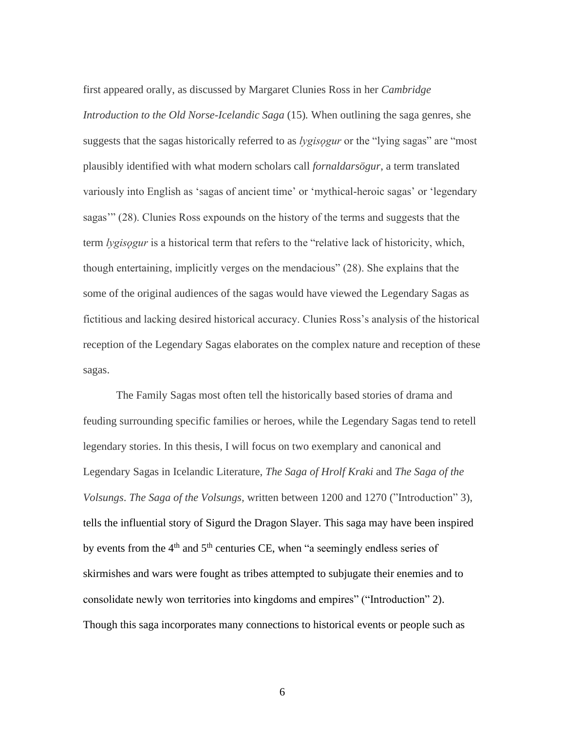first appeared orally, as discussed by Margaret Clunies Ross in her *Cambridge Introduction to the Old Norse-Icelandic Saga* (15)*.* When outlining the saga genres, she suggests that the sagas historically referred to as *lygisogur* or the "lying sagas" are "most" plausibly identified with what modern scholars call *fornaldarsögur*, a term translated variously into English as 'sagas of ancient time' or 'mythical-heroic sagas' or 'legendary sagas'" (28). Clunies Ross expounds on the history of the terms and suggests that the term *lygisǫgur* is a historical term that refers to the "relative lack of historicity, which, though entertaining, implicitly verges on the mendacious" (28). She explains that the some of the original audiences of the sagas would have viewed the Legendary Sagas as fictitious and lacking desired historical accuracy. Clunies Ross's analysis of the historical reception of the Legendary Sagas elaborates on the complex nature and reception of these sagas.

The Family Sagas most often tell the historically based stories of drama and feuding surrounding specific families or heroes, while the Legendary Sagas tend to retell legendary stories. In this thesis, I will focus on two exemplary and canonical and Legendary Sagas in Icelandic Literature, *The Saga of Hrolf Kraki* and *The Saga of the Volsungs*. *The Saga of the Volsungs,* written between 1200 and 1270 ("Introduction" 3), tells the influential story of Sigurd the Dragon Slayer. This saga may have been inspired by events from the  $4<sup>th</sup>$  and  $5<sup>th</sup>$  centuries CE, when "a seemingly endless series of skirmishes and wars were fought as tribes attempted to subjugate their enemies and to consolidate newly won territories into kingdoms and empires" ("Introduction" 2). Though this saga incorporates many connections to historical events or people such as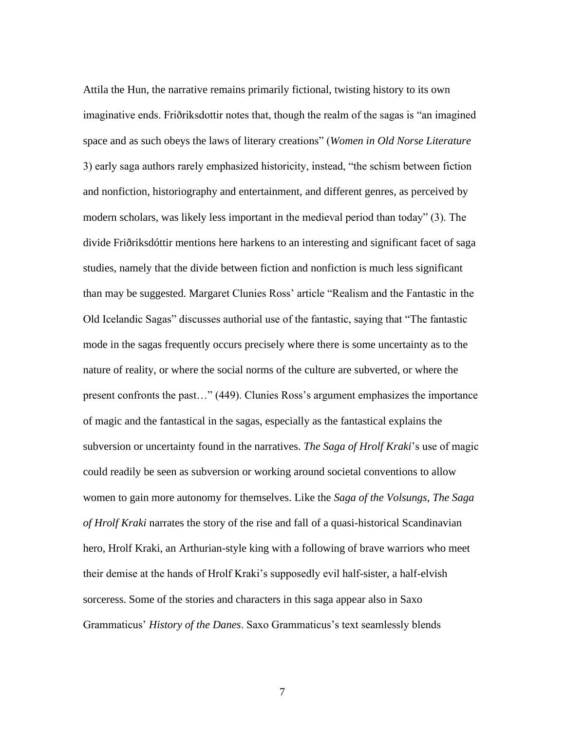Attila the Hun, the narrative remains primarily fictional, twisting history to its own imaginative ends. Friðriksdottir notes that, though the realm of the sagas is "an imagined space and as such obeys the laws of literary creations" (*Women in Old Norse Literature*  3) early saga authors rarely emphasized historicity, instead, "the schism between fiction and nonfiction, historiography and entertainment, and different genres, as perceived by modern scholars, was likely less important in the medieval period than today" (3). The divide Friðriksdóttir mentions here harkens to an interesting and significant facet of saga studies, namely that the divide between fiction and nonfiction is much less significant than may be suggested. Margaret Clunies Ross' article "Realism and the Fantastic in the Old Icelandic Sagas" discusses authorial use of the fantastic, saying that "The fantastic mode in the sagas frequently occurs precisely where there is some uncertainty as to the nature of reality, or where the social norms of the culture are subverted, or where the present confronts the past…" (449). Clunies Ross's argument emphasizes the importance of magic and the fantastical in the sagas, especially as the fantastical explains the subversion or uncertainty found in the narratives. *The Saga of Hrolf Kraki*'s use of magic could readily be seen as subversion or working around societal conventions to allow women to gain more autonomy for themselves. Like the *Saga of the Volsungs, The Saga of Hrolf Kraki* narrates the story of the rise and fall of a quasi-historical Scandinavian hero, Hrolf Kraki, an Arthurian-style king with a following of brave warriors who meet their demise at the hands of Hrolf Kraki's supposedly evil half-sister, a half-elvish sorceress. Some of the stories and characters in this saga appear also in Saxo Grammaticus' *History of the Danes*. Saxo Grammaticus's text seamlessly blends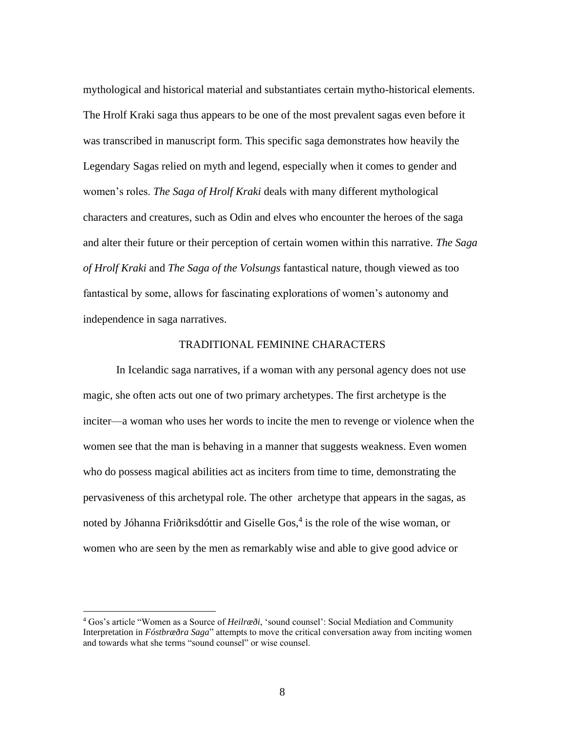mythological and historical material and substantiates certain mytho-historical elements. The Hrolf Kraki saga thus appears to be one of the most prevalent sagas even before it was transcribed in manuscript form. This specific saga demonstrates how heavily the Legendary Sagas relied on myth and legend, especially when it comes to gender and women's roles. *The Saga of Hrolf Kraki* deals with many different mythological characters and creatures, such as Odin and elves who encounter the heroes of the saga and alter their future or their perception of certain women within this narrative. *The Saga of Hrolf Kraki* and *The Saga of the Volsungs* fantastical nature, though viewed as too fantastical by some, allows for fascinating explorations of women's autonomy and independence in saga narratives.

#### TRADITIONAL FEMININE CHARACTERS

In Icelandic saga narratives, if a woman with any personal agency does not use magic, she often acts out one of two primary archetypes. The first archetype is the inciter—a woman who uses her words to incite the men to revenge or violence when the women see that the man is behaving in a manner that suggests weakness. Even women who do possess magical abilities act as inciters from time to time, demonstrating the pervasiveness of this archetypal role. The other archetype that appears in the sagas, as noted by Jóhanna Friðriksdóttir and Giselle Gos,<sup>4</sup> is the role of the wise woman, or women who are seen by the men as remarkably wise and able to give good advice or

<sup>4</sup> Gos's article "Women as a Source of *Heilræði*, 'sound counsel': Social Mediation and Community Interpretation in *Fóstbræðra Saga*" attempts to move the critical conversation away from inciting women and towards what she terms "sound counsel" or wise counsel.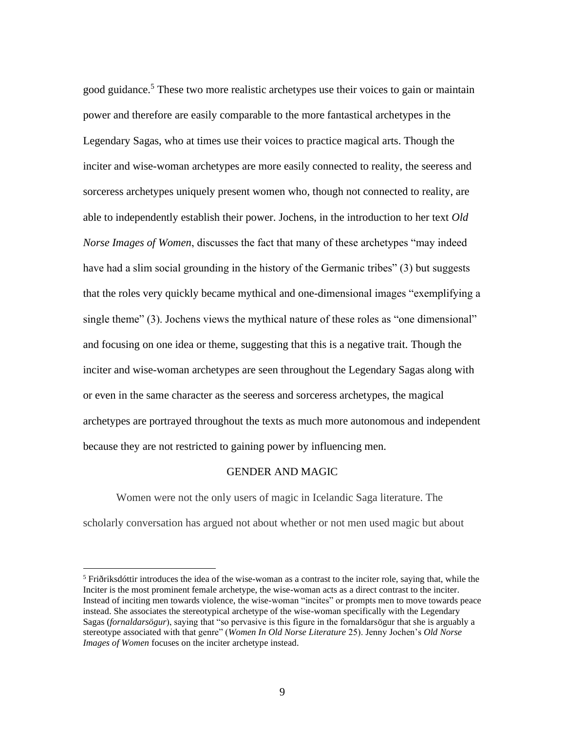good guidance.<sup>5</sup> These two more realistic archetypes use their voices to gain or maintain power and therefore are easily comparable to the more fantastical archetypes in the Legendary Sagas, who at times use their voices to practice magical arts. Though the inciter and wise-woman archetypes are more easily connected to reality, the seeress and sorceress archetypes uniquely present women who, though not connected to reality, are able to independently establish their power. Jochens, in the introduction to her text *Old Norse Images of Women*, discusses the fact that many of these archetypes "may indeed have had a slim social grounding in the history of the Germanic tribes" (3) but suggests that the roles very quickly became mythical and one-dimensional images "exemplifying a single theme" (3). Jochens views the mythical nature of these roles as "one dimensional" and focusing on one idea or theme, suggesting that this is a negative trait. Though the inciter and wise-woman archetypes are seen throughout the Legendary Sagas along with or even in the same character as the seeress and sorceress archetypes, the magical archetypes are portrayed throughout the texts as much more autonomous and independent because they are not restricted to gaining power by influencing men.

## GENDER AND MAGIC

Women were not the only users of magic in Icelandic Saga literature. The scholarly conversation has argued not about whether or not men used magic but about

<sup>&</sup>lt;sup>5</sup> Friðriksdóttir introduces the idea of the wise-woman as a contrast to the inciter role, saying that, while the Inciter is the most prominent female archetype, the wise-woman acts as a direct contrast to the inciter. Instead of inciting men towards violence, the wise-woman "incites" or prompts men to move towards peace instead. She associates the stereotypical archetype of the wise-woman specifically with the Legendary Sagas (*fornaldarsögur*), saying that "so pervasive is this figure in the fornaldarsögur that she is arguably a stereotype associated with that genre" (*Women In Old Norse Literature* 25). Jenny Jochen's *Old Norse Images of Women* focuses on the inciter archetype instead.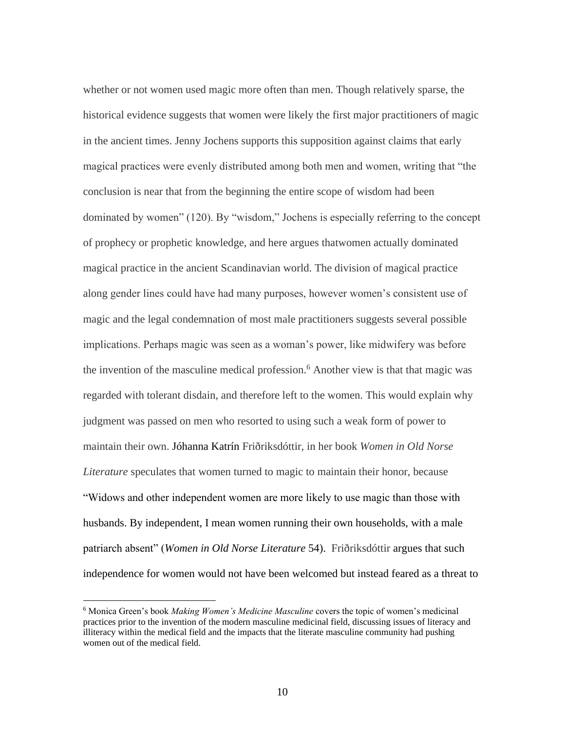whether or not women used magic more often than men. Though relatively sparse, the historical evidence suggests that women were likely the first major practitioners of magic in the ancient times. Jenny Jochens supports this supposition against claims that early magical practices were evenly distributed among both men and women, writing that "the conclusion is near that from the beginning the entire scope of wisdom had been dominated by women" (120). By "wisdom," Jochens is especially referring to the concept of prophecy or prophetic knowledge, and here argues thatwomen actually dominated magical practice in the ancient Scandinavian world. The division of magical practice along gender lines could have had many purposes, however women's consistent use of magic and the legal condemnation of most male practitioners suggests several possible implications. Perhaps magic was seen as a woman's power, like midwifery was before the invention of the masculine medical profession.<sup>6</sup> Another view is that that magic was regarded with tolerant disdain, and therefore left to the women. This would explain why judgment was passed on men who resorted to using such a weak form of power to maintain their own. Jóhanna Katrín Friðriksdóttir, in her book *Women in Old Norse Literature* speculates that women turned to magic to maintain their honor, because "Widows and other independent women are more likely to use magic than those with husbands. By independent, I mean women running their own households, with a male patriarch absent" (*Women in Old Norse Literature* 54). Friðriksdóttir argues that such independence for women would not have been welcomed but instead feared as a threat to

<sup>6</sup> Monica Green's book *Making Women's Medicine Masculine* covers the topic of women's medicinal practices prior to the invention of the modern masculine medicinal field, discussing issues of literacy and illiteracy within the medical field and the impacts that the literate masculine community had pushing women out of the medical field.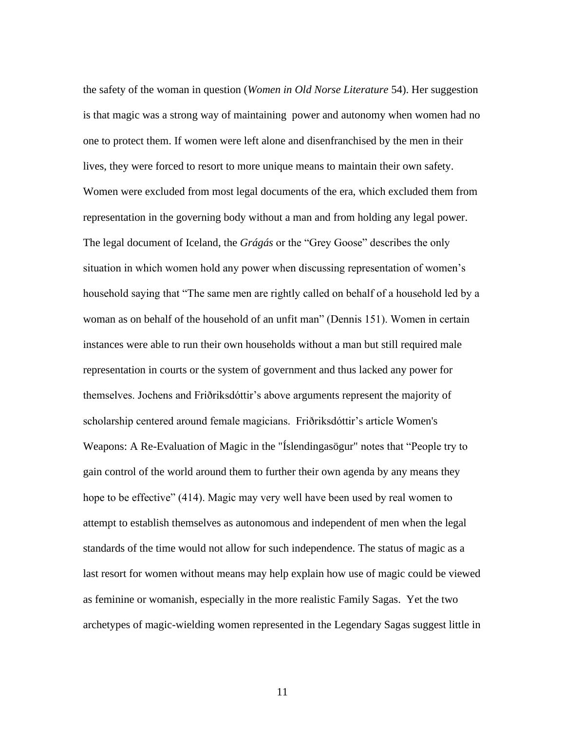the safety of the woman in question (*Women in Old Norse Literature* 54). Her suggestion is that magic was a strong way of maintaining power and autonomy when women had no one to protect them. If women were left alone and disenfranchised by the men in their lives, they were forced to resort to more unique means to maintain their own safety. Women were excluded from most legal documents of the era, which excluded them from representation in the governing body without a man and from holding any legal power. The legal document of Iceland, the *Grágás* or the "Grey Goose" describes the only situation in which women hold any power when discussing representation of women's household saying that "The same men are rightly called on behalf of a household led by a woman as on behalf of the household of an unfit man" (Dennis 151). Women in certain instances were able to run their own households without a man but still required male representation in courts or the system of government and thus lacked any power for themselves. Jochens and Friðriksdóttir's above arguments represent the majority of scholarship centered around female magicians. Friðriksdóttir's article Women's Weapons: A Re-Evaluation of Magic in the "Íslendingasögur" notes that "People try to gain control of the world around them to further their own agenda by any means they hope to be effective" (414). Magic may very well have been used by real women to attempt to establish themselves as autonomous and independent of men when the legal standards of the time would not allow for such independence. The status of magic as a last resort for women without means may help explain how use of magic could be viewed as feminine or womanish, especially in the more realistic Family Sagas. Yet the two archetypes of magic-wielding women represented in the Legendary Sagas suggest little in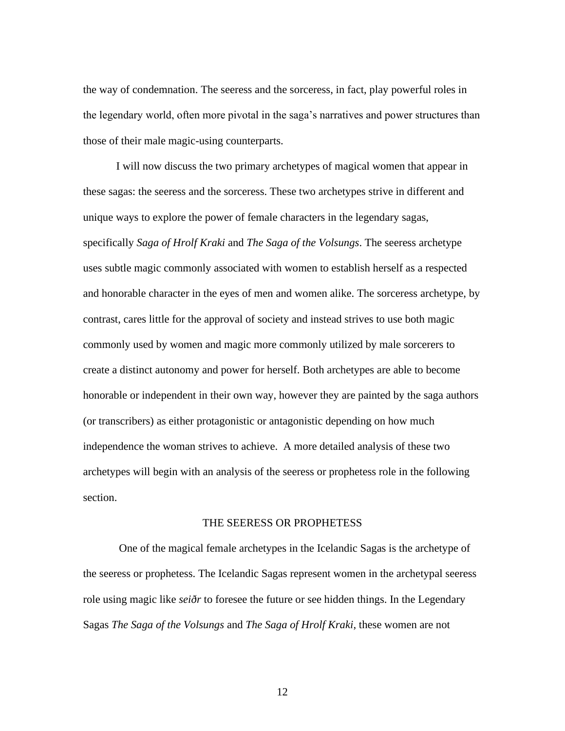the way of condemnation. The seeress and the sorceress, in fact, play powerful roles in the legendary world, often more pivotal in the saga's narratives and power structures than those of their male magic-using counterparts.

I will now discuss the two primary archetypes of magical women that appear in these sagas: the seeress and the sorceress. These two archetypes strive in different and unique ways to explore the power of female characters in the legendary sagas, specifically *Saga of Hrolf Kraki* and *The Saga of the Volsungs*. The seeress archetype uses subtle magic commonly associated with women to establish herself as a respected and honorable character in the eyes of men and women alike. The sorceress archetype, by contrast, cares little for the approval of society and instead strives to use both magic commonly used by women and magic more commonly utilized by male sorcerers to create a distinct autonomy and power for herself. Both archetypes are able to become honorable or independent in their own way, however they are painted by the saga authors (or transcribers) as either protagonistic or antagonistic depending on how much independence the woman strives to achieve. A more detailed analysis of these two archetypes will begin with an analysis of the seeress or prophetess role in the following section.

## THE SEERESS OR PROPHETESS

One of the magical female archetypes in the Icelandic Sagas is the archetype of the seeress or prophetess. The Icelandic Sagas represent women in the archetypal seeress role using magic like *seiðr* to foresee the future or see hidden things. In the Legendary Sagas *The Saga of the Volsungs* and *The Saga of Hrolf Kraki*, these women are not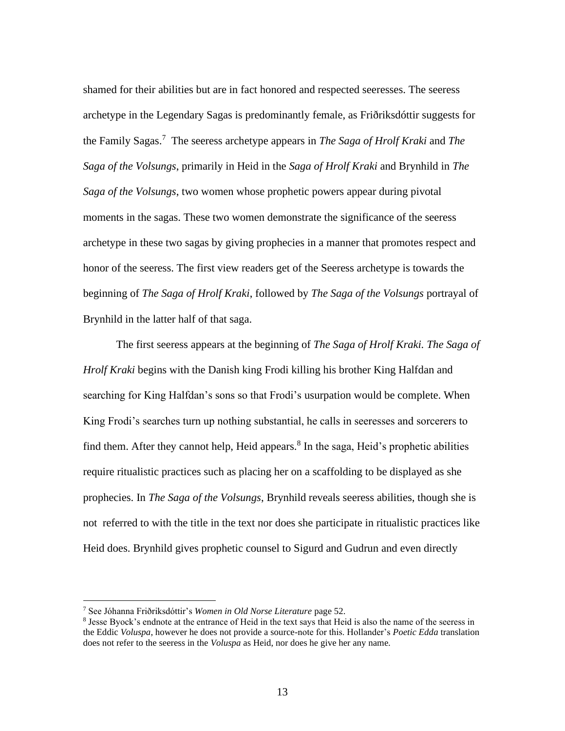shamed for their abilities but are in fact honored and respected seeresses. The seeress archetype in the Legendary Sagas is predominantly female, as Friðriksdóttir suggests for the Family Sagas.<sup>7</sup> The seeress archetype appears in *The Saga of Hrolf Kraki* and *The Saga of the Volsungs*, primarily in Heid in the *Saga of Hrolf Kraki* and Brynhild in *The Saga of the Volsungs*, two women whose prophetic powers appear during pivotal moments in the sagas. These two women demonstrate the significance of the seeress archetype in these two sagas by giving prophecies in a manner that promotes respect and honor of the seeress. The first view readers get of the Seeress archetype is towards the beginning of *The Saga of Hrolf Kraki*, followed by *The Saga of the Volsungs* portrayal of Brynhild in the latter half of that saga.

The first seeress appears at the beginning of *The Saga of Hrolf Kraki. The Saga of Hrolf Kraki* begins with the Danish king Frodi killing his brother King Halfdan and searching for King Halfdan's sons so that Frodi's usurpation would be complete. When King Frodi's searches turn up nothing substantial, he calls in seeresses and sorcerers to find them. After they cannot help, Heid appears.<sup>8</sup> In the saga, Heid's prophetic abilities require ritualistic practices such as placing her on a scaffolding to be displayed as she prophecies. In *The Saga of the Volsungs*, Brynhild reveals seeress abilities, though she is not referred to with the title in the text nor does she participate in ritualistic practices like Heid does. Brynhild gives prophetic counsel to Sigurd and Gudrun and even directly

<sup>7</sup> See Jóhanna Friðriksdóttir's *Women in Old Norse Literature* page 52.

<sup>&</sup>lt;sup>8</sup> Jesse Byock's endnote at the entrance of Heid in the text says that Heid is also the name of the seeress in the Eddic *Voluspa*, however he does not provide a source-note for this. Hollander's *Poetic Edda* translation does not refer to the seeress in the *Voluspa* as Heid, nor does he give her any name.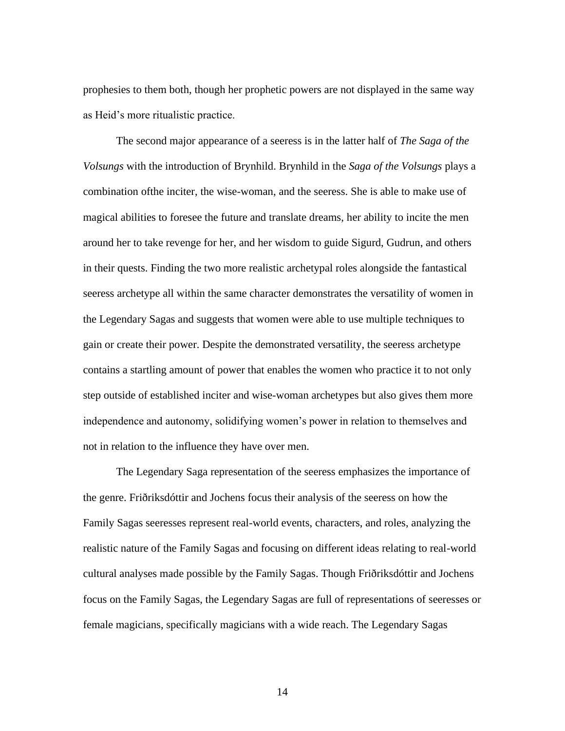prophesies to them both, though her prophetic powers are not displayed in the same way as Heid's more ritualistic practice.

The second major appearance of a seeress is in the latter half of *The Saga of the Volsungs* with the introduction of Brynhild. Brynhild in the *Saga of the Volsungs* plays a combination ofthe inciter, the wise-woman, and the seeress. She is able to make use of magical abilities to foresee the future and translate dreams, her ability to incite the men around her to take revenge for her, and her wisdom to guide Sigurd, Gudrun, and others in their quests. Finding the two more realistic archetypal roles alongside the fantastical seeress archetype all within the same character demonstrates the versatility of women in the Legendary Sagas and suggests that women were able to use multiple techniques to gain or create their power. Despite the demonstrated versatility, the seeress archetype contains a startling amount of power that enables the women who practice it to not only step outside of established inciter and wise-woman archetypes but also gives them more independence and autonomy, solidifying women's power in relation to themselves and not in relation to the influence they have over men.

The Legendary Saga representation of the seeress emphasizes the importance of the genre. Friðriksdóttir and Jochens focus their analysis of the seeress on how the Family Sagas seeresses represent real-world events, characters, and roles, analyzing the realistic nature of the Family Sagas and focusing on different ideas relating to real-world cultural analyses made possible by the Family Sagas. Though Friðriksdóttir and Jochens focus on the Family Sagas, the Legendary Sagas are full of representations of seeresses or female magicians, specifically magicians with a wide reach. The Legendary Sagas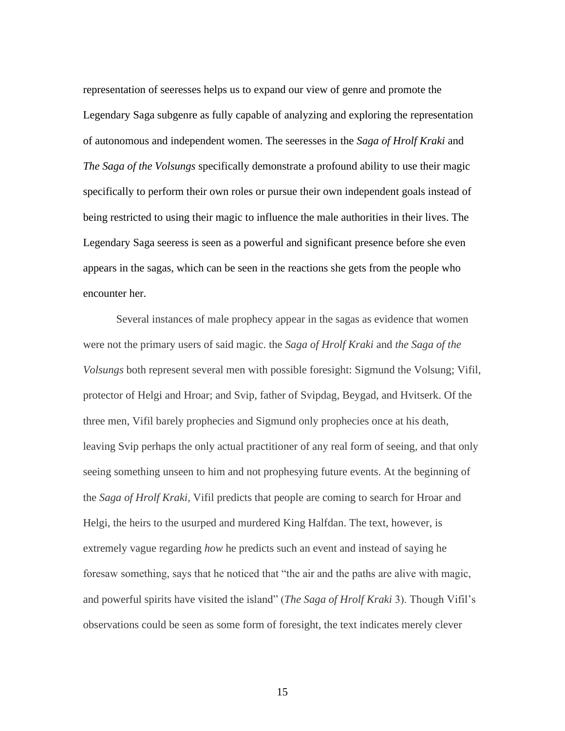representation of seeresses helps us to expand our view of genre and promote the Legendary Saga subgenre as fully capable of analyzing and exploring the representation of autonomous and independent women. The seeresses in the *Saga of Hrolf Kraki* and *The Saga of the Volsungs* specifically demonstrate a profound ability to use their magic specifically to perform their own roles or pursue their own independent goals instead of being restricted to using their magic to influence the male authorities in their lives. The Legendary Saga seeress is seen as a powerful and significant presence before she even appears in the sagas, which can be seen in the reactions she gets from the people who encounter her.

Several instances of male prophecy appear in the sagas as evidence that women were not the primary users of said magic. the *Saga of Hrolf Kraki* and *the Saga of the Volsungs* both represent several men with possible foresight: Sigmund the Volsung; Vifil, protector of Helgi and Hroar; and Svip, father of Svipdag, Beygad, and Hvitserk. Of the three men, Vifil barely prophecies and Sigmund only prophecies once at his death, leaving Svip perhaps the only actual practitioner of any real form of seeing, and that only seeing something unseen to him and not prophesying future events. At the beginning of the *Saga of Hrolf Kraki,* Vifil predicts that people are coming to search for Hroar and Helgi, the heirs to the usurped and murdered King Halfdan. The text, however, is extremely vague regarding *how* he predicts such an event and instead of saying he foresaw something, says that he noticed that "the air and the paths are alive with magic, and powerful spirits have visited the island" (*The Saga of Hrolf Kraki* 3). Though Vifil's observations could be seen as some form of foresight, the text indicates merely clever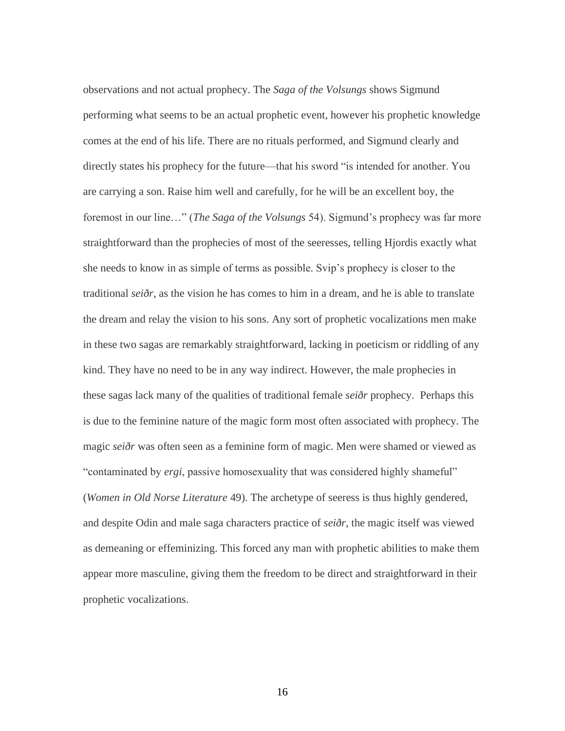observations and not actual prophecy. The *Saga of the Volsungs* shows Sigmund performing what seems to be an actual prophetic event, however his prophetic knowledge comes at the end of his life. There are no rituals performed, and Sigmund clearly and directly states his prophecy for the future—that his sword "is intended for another. You are carrying a son. Raise him well and carefully, for he will be an excellent boy, the foremost in our line…" (*The Saga of the Volsungs* 54). Sigmund's prophecy was far more straightforward than the prophecies of most of the seeresses, telling Hjordis exactly what she needs to know in as simple of terms as possible. Svip's prophecy is closer to the traditional *seiðr*, as the vision he has comes to him in a dream, and he is able to translate the dream and relay the vision to his sons. Any sort of prophetic vocalizations men make in these two sagas are remarkably straightforward, lacking in poeticism or riddling of any kind. They have no need to be in any way indirect. However, the male prophecies in these sagas lack many of the qualities of traditional female *seiðr* prophecy. Perhaps this is due to the feminine nature of the magic form most often associated with prophecy. The magic *seiðr* was often seen as a feminine form of magic. Men were shamed or viewed as "contaminated by *ergi*, passive homosexuality that was considered highly shameful" (*Women in Old Norse Literature* 49). The archetype of seeress is thus highly gendered, and despite Odin and male saga characters practice of *seiðr*, the magic itself was viewed as demeaning or effeminizing. This forced any man with prophetic abilities to make them appear more masculine, giving them the freedom to be direct and straightforward in their prophetic vocalizations.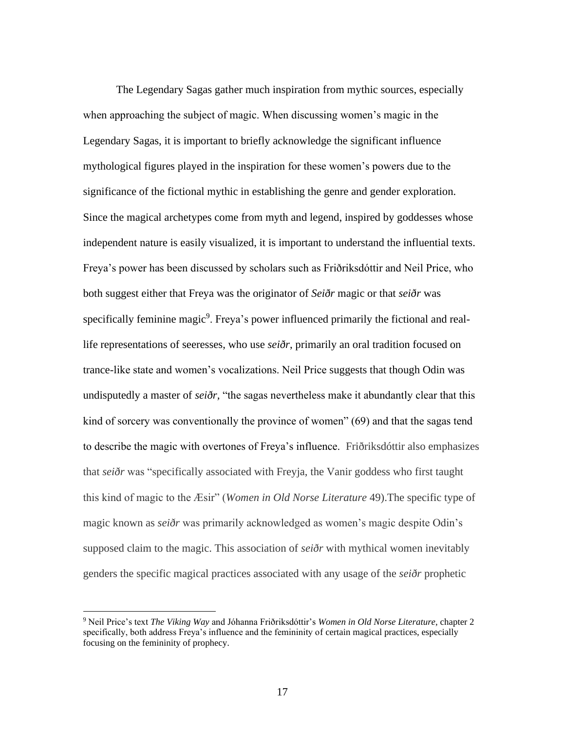The Legendary Sagas gather much inspiration from mythic sources, especially when approaching the subject of magic. When discussing women's magic in the Legendary Sagas, it is important to briefly acknowledge the significant influence mythological figures played in the inspiration for these women's powers due to the significance of the fictional mythic in establishing the genre and gender exploration. Since the magical archetypes come from myth and legend, inspired by goddesses whose independent nature is easily visualized, it is important to understand the influential texts. Freya's power has been discussed by scholars such as Friðriksdóttir and Neil Price, who both suggest either that Freya was the originator of *Seiðr* magic or that *seiðr* was specifically feminine magic<sup>9</sup>. Freya's power influenced primarily the fictional and reallife representations of seeresses, who use *seiðr*, primarily an oral tradition focused on trance-like state and women's vocalizations. Neil Price suggests that though Odin was undisputedly a master of *seiðr,* "the sagas nevertheless make it abundantly clear that this kind of sorcery was conventionally the province of women" (69) and that the sagas tend to describe the magic with overtones of Freya's influence. Friðriksdóttir also emphasizes that *seiðr* was "specifically associated with Freyja, the Vanir goddess who first taught this kind of magic to the Æsir" (*Women in Old Norse Literature* 49).The specific type of magic known as *seiðr* was primarily acknowledged as women's magic despite Odin's supposed claim to the magic. This association of *seiðr* with mythical women inevitably genders the specific magical practices associated with any usage of the *seiðr* prophetic

<sup>9</sup> Neil Price's text *The Viking Way* and Jóhanna Friðriksdóttir's *Women in Old Norse Literature*, chapter 2 specifically, both address Freya's influence and the femininity of certain magical practices, especially focusing on the femininity of prophecy.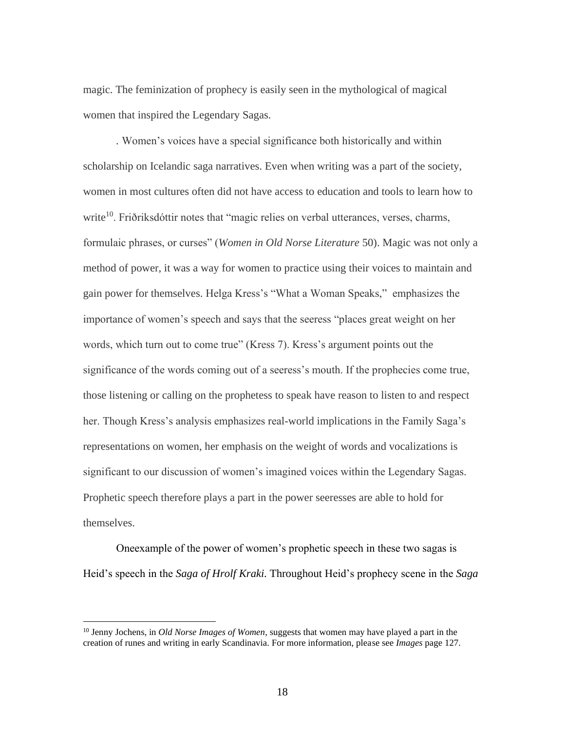magic. The feminization of prophecy is easily seen in the mythological of magical women that inspired the Legendary Sagas.

*.* Women's voices have a special significance both historically and within scholarship on Icelandic saga narratives. Even when writing was a part of the society, women in most cultures often did not have access to education and tools to learn how to write<sup>10</sup>. Friðriksdóttir notes that "magic relies on verbal utterances, verses, charms, formulaic phrases, or curses" (*Women in Old Norse Literature* 50). Magic was not only a method of power, it was a way for women to practice using their voices to maintain and gain power for themselves. Helga Kress's "What a Woman Speaks," emphasizes the importance of women's speech and says that the seeress "places great weight on her words, which turn out to come true" (Kress 7). Kress's argument points out the significance of the words coming out of a seeress's mouth. If the prophecies come true, those listening or calling on the prophetess to speak have reason to listen to and respect her. Though Kress's analysis emphasizes real-world implications in the Family Saga's representations on women, her emphasis on the weight of words and vocalizations is significant to our discussion of women's imagined voices within the Legendary Sagas. Prophetic speech therefore plays a part in the power seeresses are able to hold for themselves.

Oneexample of the power of women's prophetic speech in these two sagas is Heid's speech in the *Saga of Hrolf Kraki.* Throughout Heid's prophecy scene in the *Saga* 

<sup>10</sup> Jenny Jochens, in *Old Norse Images of Women*, suggests that women may have played a part in the creation of runes and writing in early Scandinavia. For more information, please see *Images* page 127.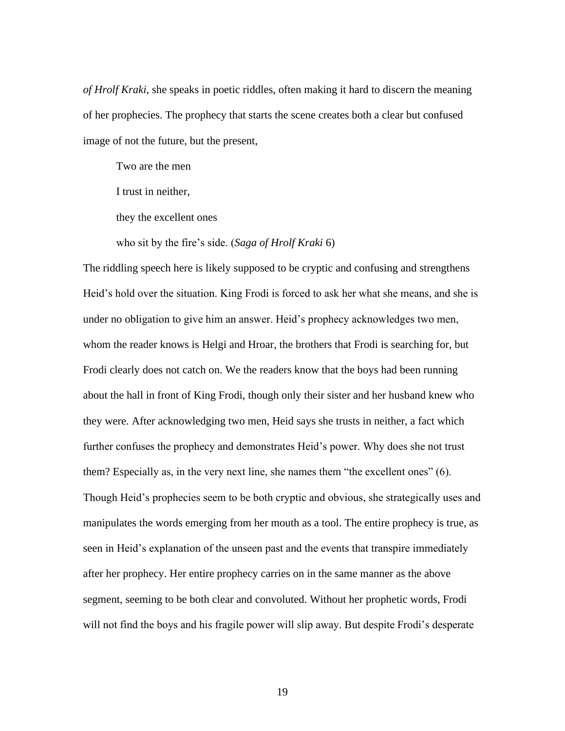*of Hrolf Kraki*, she speaks in poetic riddles, often making it hard to discern the meaning of her prophecies. The prophecy that starts the scene creates both a clear but confused image of not the future, but the present,

Two are the men

I trust in neither,

they the excellent ones

who sit by the fire's side. (*Saga of Hrolf Kraki* 6)

The riddling speech here is likely supposed to be cryptic and confusing and strengthens Heid's hold over the situation. King Frodi is forced to ask her what she means, and she is under no obligation to give him an answer. Heid's prophecy acknowledges two men, whom the reader knows is Helgi and Hroar, the brothers that Frodi is searching for, but Frodi clearly does not catch on. We the readers know that the boys had been running about the hall in front of King Frodi, though only their sister and her husband knew who they were. After acknowledging two men, Heid says she trusts in neither, a fact which further confuses the prophecy and demonstrates Heid's power. Why does she not trust them? Especially as, in the very next line, she names them "the excellent ones" (6). Though Heid's prophecies seem to be both cryptic and obvious, she strategically uses and manipulates the words emerging from her mouth as a tool. The entire prophecy is true, as seen in Heid's explanation of the unseen past and the events that transpire immediately after her prophecy. Her entire prophecy carries on in the same manner as the above segment, seeming to be both clear and convoluted. Without her prophetic words, Frodi will not find the boys and his fragile power will slip away. But despite Frodi's desperate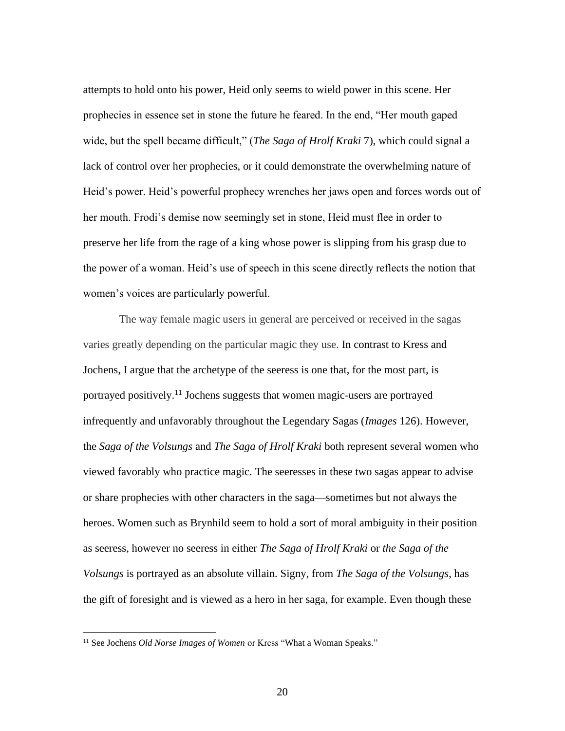attempts to hold onto his power, Heid only seems to wield power in this scene. Her prophecies in essence set in stone the future he feared. In the end, "Her mouth gaped wide, but the spell became difficult," (*The Saga of Hrolf Kraki* 7), which could signal a lack of control over her prophecies, or it could demonstrate the overwhelming nature of Heid's power. Heid's powerful prophecy wrenches her jaws open and forces words out of her mouth. Frodi's demise now seemingly set in stone, Heid must flee in order to preserve her life from the rage of a king whose power is slipping from his grasp due to the power of a woman. Heid's use of speech in this scene directly reflects the notion that women's voices are particularly powerful.

The way female magic users in general are perceived or received in the sagas varies greatly depending on the particular magic they use. In contrast to Kress and Jochens, I argue that the archetype of the seeress is one that, for the most part, is portrayed positively.<sup>11</sup> Jochens suggests that women magic-users are portrayed infrequently and unfavorably throughout the Legendary Sagas (*Images* 126). However, the *Saga of the Volsungs* and *The Saga of Hrolf Kraki* both represent several women who viewed favorably who practice magic. The seeresses in these two sagas appear to advise or share prophecies with other characters in the saga—sometimes but not always the heroes. Women such as Brynhild seem to hold a sort of moral ambiguity in their position as seeress, however no seeress in either *The Saga of Hrolf Kraki* or *the Saga of the Volsungs* is portrayed as an absolute villain. Signy, from *The Saga of the Volsungs*, has the gift of foresight and is viewed as a hero in her saga, for example. Even though these

<sup>&</sup>lt;sup>11</sup> See Jochens *Old Norse Images of Women* or Kress "What a Woman Speaks."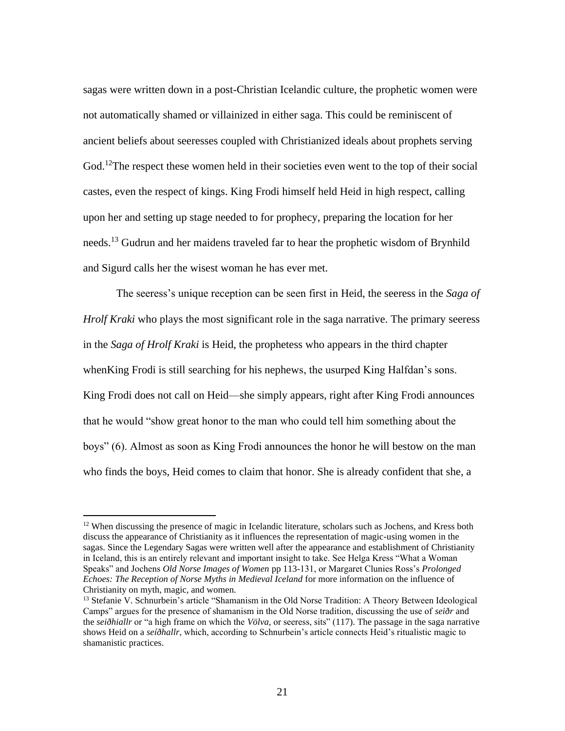sagas were written down in a post-Christian Icelandic culture, the prophetic women were not automatically shamed or villainized in either saga. This could be reminiscent of ancient beliefs about seeresses coupled with Christianized ideals about prophets serving God.<sup>12</sup>The respect these women held in their societies even went to the top of their social castes, even the respect of kings. King Frodi himself held Heid in high respect, calling upon her and setting up stage needed to for prophecy, preparing the location for her needs.<sup>13</sup> Gudrun and her maidens traveled far to hear the prophetic wisdom of Brynhild and Sigurd calls her the wisest woman he has ever met.

The seeress's unique reception can be seen first in Heid, the seeress in the *Saga of Hrolf Kraki* who plays the most significant role in the saga narrative. The primary seeress in the *Saga of Hrolf Kraki* is Heid, the prophetess who appears in the third chapter whenKing Frodi is still searching for his nephews, the usurped King Halfdan's sons. King Frodi does not call on Heid—she simply appears, right after King Frodi announces that he would "show great honor to the man who could tell him something about the boys" (6). Almost as soon as King Frodi announces the honor he will bestow on the man who finds the boys, Heid comes to claim that honor. She is already confident that she, a

<sup>&</sup>lt;sup>12</sup> When discussing the presence of magic in Icelandic literature, scholars such as Jochens, and Kress both discuss the appearance of Christianity as it influences the representation of magic-using women in the sagas. Since the Legendary Sagas were written well after the appearance and establishment of Christianity in Iceland, this is an entirely relevant and important insight to take. See Helga Kress "What a Woman Speaks" and Jochens *Old Norse Images of Women* pp 113-131, or Margaret Clunies Ross's *Prolonged Echoes: The Reception of Norse Myths in Medieval Iceland* for more information on the influence of Christianity on myth, magic, and women.

<sup>&</sup>lt;sup>13</sup> Stefanie V. Schnurbein's article "Shamanism in the Old Norse Tradition: A Theory Between Ideological Camps" argues for the presence of shamanism in the Old Norse tradition, discussing the use of *seiðr* and the *seiðhiallr* or "a high frame on which the *Völva,* or seeress, sits" (117). The passage in the saga narrative shows Heid on a *seíðhallr*, which, according to Schnurbein's article connects Heid's ritualistic magic to shamanistic practices.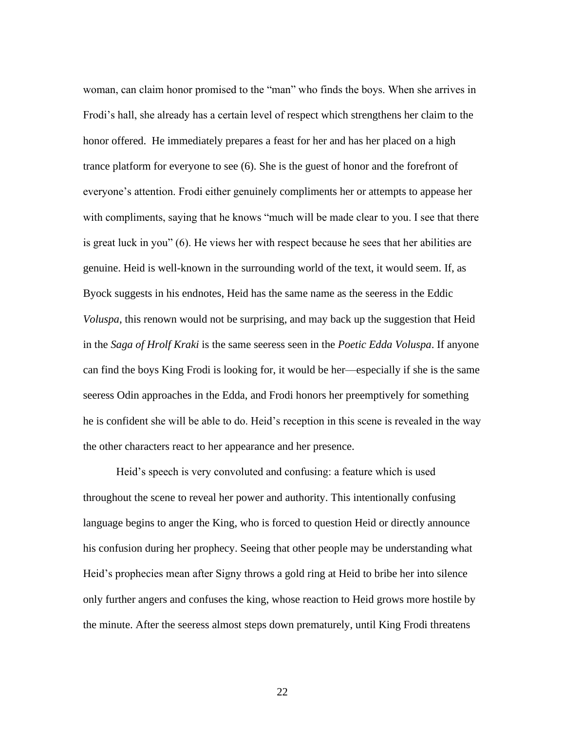woman, can claim honor promised to the "man" who finds the boys. When she arrives in Frodi's hall, she already has a certain level of respect which strengthens her claim to the honor offered. He immediately prepares a feast for her and has her placed on a high trance platform for everyone to see (6). She is the guest of honor and the forefront of everyone's attention. Frodi either genuinely compliments her or attempts to appease her with compliments, saying that he knows "much will be made clear to you. I see that there is great luck in you" (6). He views her with respect because he sees that her abilities are genuine. Heid is well-known in the surrounding world of the text, it would seem. If, as Byock suggests in his endnotes, Heid has the same name as the seeress in the Eddic *Voluspa*, this renown would not be surprising, and may back up the suggestion that Heid in the *Saga of Hrolf Kraki* is the same seeress seen in the *Poetic Edda Voluspa*. If anyone can find the boys King Frodi is looking for, it would be her—especially if she is the same seeress Odin approaches in the Edda, and Frodi honors her preemptively for something he is confident she will be able to do. Heid's reception in this scene is revealed in the way the other characters react to her appearance and her presence.

Heid's speech is very convoluted and confusing: a feature which is used throughout the scene to reveal her power and authority. This intentionally confusing language begins to anger the King, who is forced to question Heid or directly announce his confusion during her prophecy. Seeing that other people may be understanding what Heid's prophecies mean after Signy throws a gold ring at Heid to bribe her into silence only further angers and confuses the king, whose reaction to Heid grows more hostile by the minute. After the seeress almost steps down prematurely, until King Frodi threatens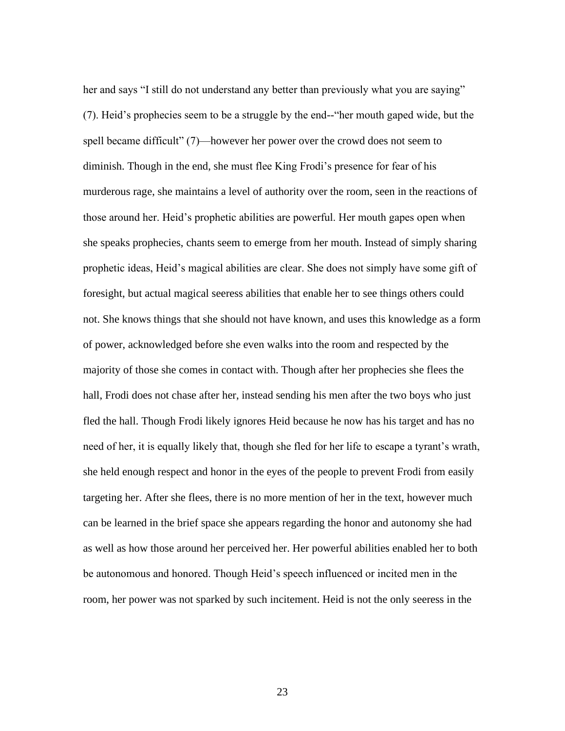her and says "I still do not understand any better than previously what you are saying" (7). Heid's prophecies seem to be a struggle by the end--"her mouth gaped wide, but the spell became difficult" (7)—however her power over the crowd does not seem to diminish. Though in the end, she must flee King Frodi's presence for fear of his murderous rage, she maintains a level of authority over the room, seen in the reactions of those around her. Heid's prophetic abilities are powerful. Her mouth gapes open when she speaks prophecies, chants seem to emerge from her mouth. Instead of simply sharing prophetic ideas, Heid's magical abilities are clear. She does not simply have some gift of foresight, but actual magical seeress abilities that enable her to see things others could not. She knows things that she should not have known, and uses this knowledge as a form of power, acknowledged before she even walks into the room and respected by the majority of those she comes in contact with. Though after her prophecies she flees the hall, Frodi does not chase after her, instead sending his men after the two boys who just fled the hall. Though Frodi likely ignores Heid because he now has his target and has no need of her, it is equally likely that, though she fled for her life to escape a tyrant's wrath, she held enough respect and honor in the eyes of the people to prevent Frodi from easily targeting her. After she flees, there is no more mention of her in the text, however much can be learned in the brief space she appears regarding the honor and autonomy she had as well as how those around her perceived her. Her powerful abilities enabled her to both be autonomous and honored. Though Heid's speech influenced or incited men in the room, her power was not sparked by such incitement. Heid is not the only seeress in the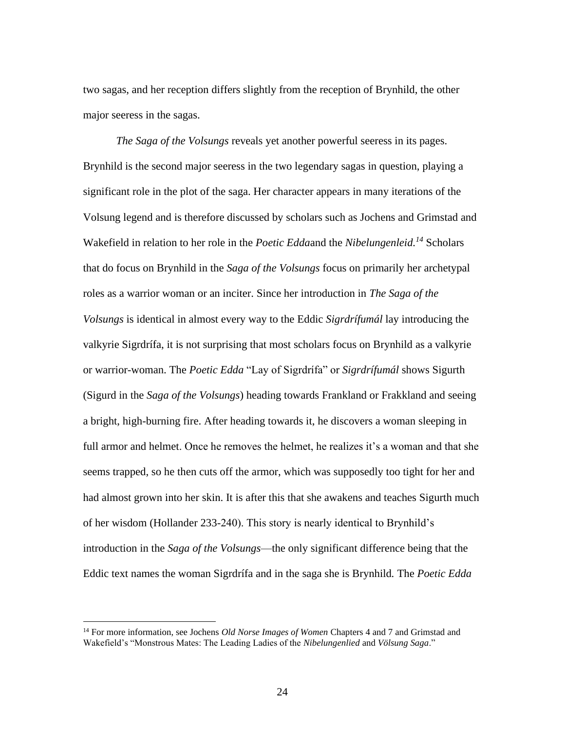two sagas, and her reception differs slightly from the reception of Brynhild, the other major seeress in the sagas.

*The Saga of the Volsungs* reveals yet another powerful seeress in its pages. Brynhild is the second major seeress in the two legendary sagas in question, playing a significant role in the plot of the saga. Her character appears in many iterations of the Volsung legend and is therefore discussed by scholars such as Jochens and Grimstad and Wakefield in relation to her role in the *Poetic Edda*and the *Nibelungenleid.<sup>14</sup>* Scholars that do focus on Brynhild in the *Saga of the Volsungs* focus on primarily her archetypal roles as a warrior woman or an inciter. Since her introduction in *The Saga of the Volsungs* is identical in almost every way to the Eddic *Sigrdrífumál* lay introducing the valkyrie Sigrdrífa, it is not surprising that most scholars focus on Brynhild as a valkyrie or warrior-woman. The *Poetic Edda* "Lay of Sigrdrífa" or *Sigrdrífumál* shows Sigurth (Sigurd in the *Saga of the Volsungs*) heading towards Frankland or Frakkland and seeing a bright, high-burning fire. After heading towards it, he discovers a woman sleeping in full armor and helmet. Once he removes the helmet, he realizes it's a woman and that she seems trapped, so he then cuts off the armor, which was supposedly too tight for her and had almost grown into her skin. It is after this that she awakens and teaches Sigurth much of her wisdom (Hollander 233-240). This story is nearly identical to Brynhild's introduction in the *Saga of the Volsungs*—the only significant difference being that the Eddic text names the woman Sigrdrífa and in the saga she is Brynhild*.* The *Poetic Edda* 

<sup>14</sup> For more information, see Jochens *Old Norse Images of Women* Chapters 4 and 7 and Grimstad and Wakefield's "Monstrous Mates: The Leading Ladies of the *Nibelungenlied* and *Völsung Saga*."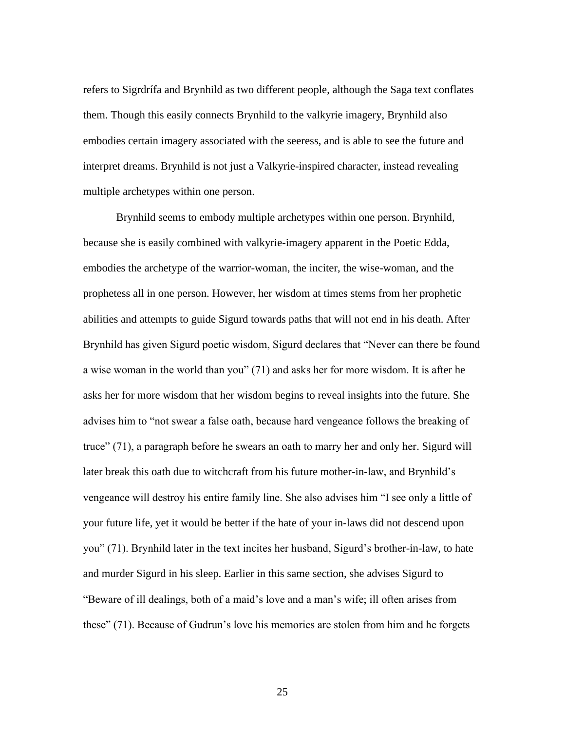refers to Sigrdrífa and Brynhild as two different people, although the Saga text conflates them. Though this easily connects Brynhild to the valkyrie imagery, Brynhild also embodies certain imagery associated with the seeress, and is able to see the future and interpret dreams. Brynhild is not just a Valkyrie-inspired character, instead revealing multiple archetypes within one person.

Brynhild seems to embody multiple archetypes within one person. Brynhild, because she is easily combined with valkyrie-imagery apparent in the Poetic Edda, embodies the archetype of the warrior-woman, the inciter, the wise-woman, and the prophetess all in one person. However, her wisdom at times stems from her prophetic abilities and attempts to guide Sigurd towards paths that will not end in his death. After Brynhild has given Sigurd poetic wisdom, Sigurd declares that "Never can there be found a wise woman in the world than you" (71) and asks her for more wisdom. It is after he asks her for more wisdom that her wisdom begins to reveal insights into the future. She advises him to "not swear a false oath, because hard vengeance follows the breaking of truce" (71), a paragraph before he swears an oath to marry her and only her. Sigurd will later break this oath due to witchcraft from his future mother-in-law, and Brynhild's vengeance will destroy his entire family line. She also advises him "I see only a little of your future life, yet it would be better if the hate of your in-laws did not descend upon you" (71). Brynhild later in the text incites her husband, Sigurd's brother-in-law, to hate and murder Sigurd in his sleep. Earlier in this same section, she advises Sigurd to "Beware of ill dealings, both of a maid's love and a man's wife; ill often arises from these" (71). Because of Gudrun's love his memories are stolen from him and he forgets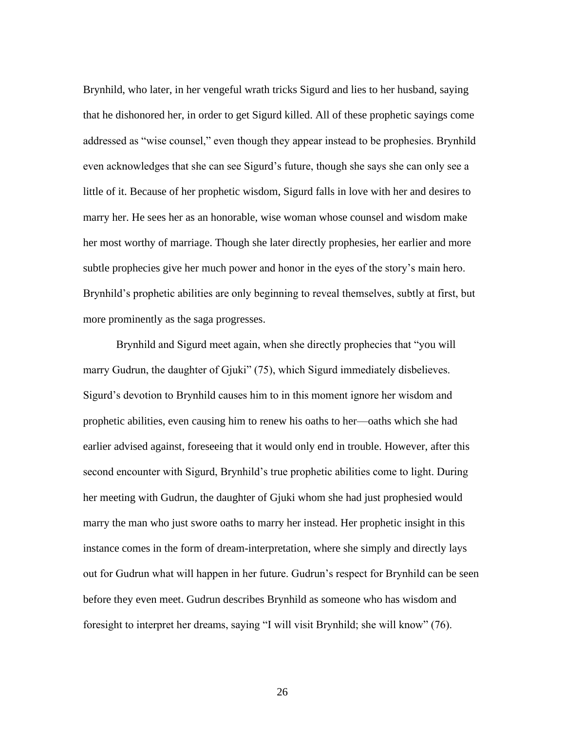Brynhild, who later, in her vengeful wrath tricks Sigurd and lies to her husband, saying that he dishonored her, in order to get Sigurd killed. All of these prophetic sayings come addressed as "wise counsel," even though they appear instead to be prophesies. Brynhild even acknowledges that she can see Sigurd's future, though she says she can only see a little of it. Because of her prophetic wisdom, Sigurd falls in love with her and desires to marry her. He sees her as an honorable, wise woman whose counsel and wisdom make her most worthy of marriage. Though she later directly prophesies, her earlier and more subtle prophecies give her much power and honor in the eyes of the story's main hero. Brynhild's prophetic abilities are only beginning to reveal themselves, subtly at first, but more prominently as the saga progresses.

Brynhild and Sigurd meet again, when she directly prophecies that "you will marry Gudrun, the daughter of Gjuki" (75), which Sigurd immediately disbelieves. Sigurd's devotion to Brynhild causes him to in this moment ignore her wisdom and prophetic abilities, even causing him to renew his oaths to her—oaths which she had earlier advised against, foreseeing that it would only end in trouble. However, after this second encounter with Sigurd, Brynhild's true prophetic abilities come to light. During her meeting with Gudrun, the daughter of Gjuki whom she had just prophesied would marry the man who just swore oaths to marry her instead. Her prophetic insight in this instance comes in the form of dream-interpretation, where she simply and directly lays out for Gudrun what will happen in her future. Gudrun's respect for Brynhild can be seen before they even meet. Gudrun describes Brynhild as someone who has wisdom and foresight to interpret her dreams, saying "I will visit Brynhild; she will know" (76).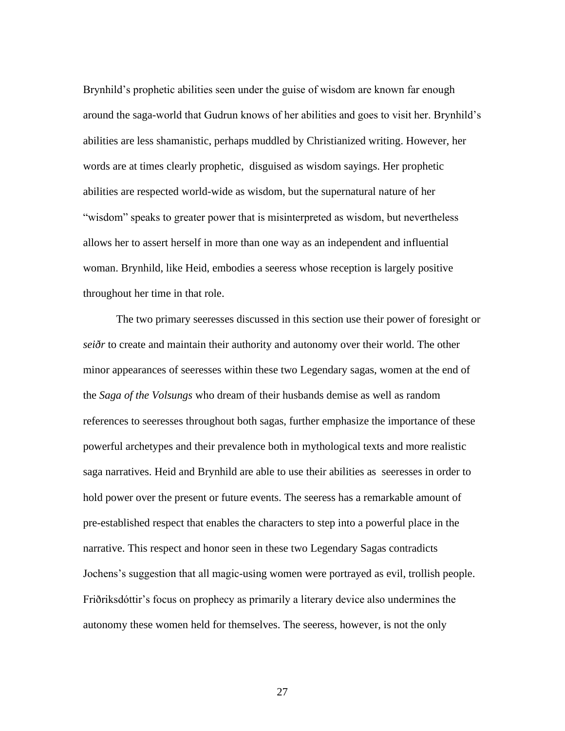Brynhild's prophetic abilities seen under the guise of wisdom are known far enough around the saga-world that Gudrun knows of her abilities and goes to visit her. Brynhild's abilities are less shamanistic, perhaps muddled by Christianized writing. However, her words are at times clearly prophetic, disguised as wisdom sayings. Her prophetic abilities are respected world-wide as wisdom, but the supernatural nature of her "wisdom" speaks to greater power that is misinterpreted as wisdom, but nevertheless allows her to assert herself in more than one way as an independent and influential woman. Brynhild, like Heid, embodies a seeress whose reception is largely positive throughout her time in that role.

The two primary seeresses discussed in this section use their power of foresight or *seiðr* to create and maintain their authority and autonomy over their world. The other minor appearances of seeresses within these two Legendary sagas, women at the end of the *Saga of the Volsungs* who dream of their husbands demise as well as random references to seeresses throughout both sagas, further emphasize the importance of these powerful archetypes and their prevalence both in mythological texts and more realistic saga narratives. Heid and Brynhild are able to use their abilities as seeresses in order to hold power over the present or future events. The seeress has a remarkable amount of pre-established respect that enables the characters to step into a powerful place in the narrative. This respect and honor seen in these two Legendary Sagas contradicts Jochens's suggestion that all magic-using women were portrayed as evil, trollish people. Friðriksdóttir's focus on prophecy as primarily a literary device also undermines the autonomy these women held for themselves. The seeress, however, is not the only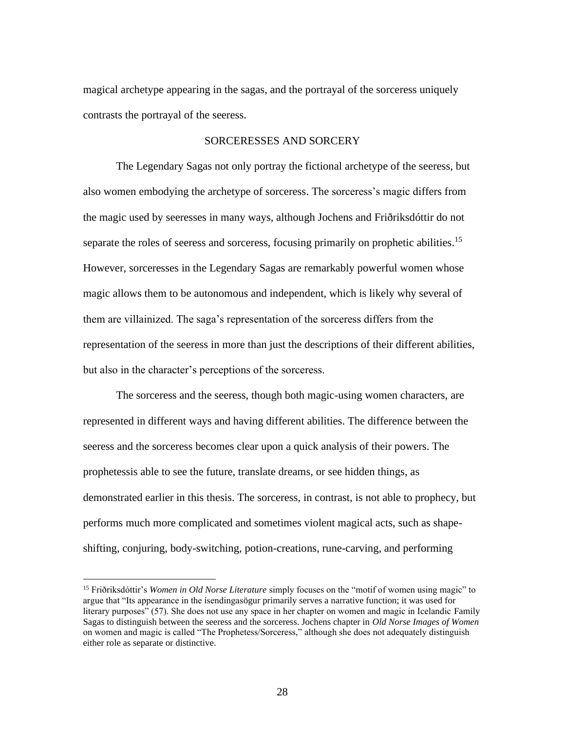magical archetype appearing in the sagas, and the portrayal of the sorceress uniquely contrasts the portrayal of the seeress.

## SORCERESSES AND SORCERY

The Legendary Sagas not only portray the fictional archetype of the seeress, but also women embodying the archetype of sorceress. The sorceress's magic differs from the magic used by seeresses in many ways, although Jochens and Friðriksdóttir do not separate the roles of seeress and sorceress, focusing primarily on prophetic abilities.<sup>15</sup> However, sorceresses in the Legendary Sagas are remarkably powerful women whose magic allows them to be autonomous and independent, which is likely why several of them are villainized. The saga's representation of the sorceress differs from the representation of the seeress in more than just the descriptions of their different abilities, but also in the character's perceptions of the sorceress.

The sorceress and the seeress, though both magic-using women characters, are represented in different ways and having different abilities. The difference between the seeress and the sorceress becomes clear upon a quick analysis of their powers. The prophetessis able to see the future, translate dreams, or see hidden things, as demonstrated earlier in this thesis. The sorceress, in contrast, is not able to prophecy, but performs much more complicated and sometimes violent magical acts, such as shapeshifting, conjuring, body-switching, potion-creations, rune-carving, and performing

<sup>15</sup> Friðriksdóttir's *Women in Old Norse Literature* simply focuses on the "motif of women using magic" to argue that "Its appearance in the ísendingasögur primarily serves a narrative function; it was used for literary purposes" (57). She does not use any space in her chapter on women and magic in Icelandic Family Sagas to distinguish between the seeress and the sorceress. Jochens chapter in *Old Norse Images of Women* on women and magic is called "The Prophetess/Sorceress," although she does not adequately distinguish either role as separate or distinctive.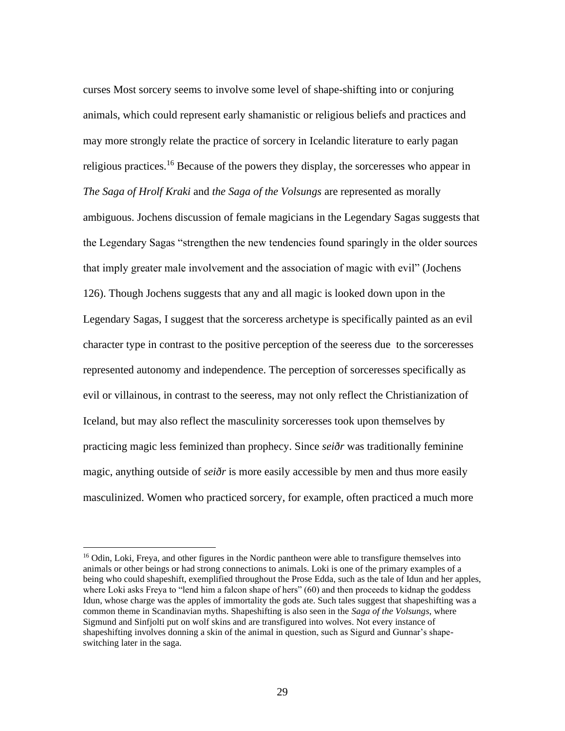curses Most sorcery seems to involve some level of shape-shifting into or conjuring animals, which could represent early shamanistic or religious beliefs and practices and may more strongly relate the practice of sorcery in Icelandic literature to early pagan religious practices.<sup>16</sup> Because of the powers they display, the sorceresses who appear in *The Saga of Hrolf Kraki* and *the Saga of the Volsungs* are represented as morally ambiguous. Jochens discussion of female magicians in the Legendary Sagas suggests that the Legendary Sagas "strengthen the new tendencies found sparingly in the older sources that imply greater male involvement and the association of magic with evil" (Jochens 126). Though Jochens suggests that any and all magic is looked down upon in the Legendary Sagas, I suggest that the sorceress archetype is specifically painted as an evil character type in contrast to the positive perception of the seeress due to the sorceresses represented autonomy and independence. The perception of sorceresses specifically as evil or villainous, in contrast to the seeress, may not only reflect the Christianization of Iceland, but may also reflect the masculinity sorceresses took upon themselves by practicing magic less feminized than prophecy. Since *seiðr* was traditionally feminine magic, anything outside of *seiðr* is more easily accessible by men and thus more easily masculinized. Women who practiced sorcery, for example, often practiced a much more

<sup>&</sup>lt;sup>16</sup> Odin, Loki, Freya, and other figures in the Nordic pantheon were able to transfigure themselves into animals or other beings or had strong connections to animals. Loki is one of the primary examples of a being who could shapeshift, exemplified throughout the Prose Edda, such as the tale of Idun and her apples, where Loki asks Freya to "lend him a falcon shape of hers" (60) and then proceeds to kidnap the goddess Idun, whose charge was the apples of immortality the gods ate. Such tales suggest that shapeshifting was a common theme in Scandinavian myths. Shapeshifting is also seen in the *Saga of the Volsungs*, where Sigmund and Sinfjolti put on wolf skins and are transfigured into wolves. Not every instance of shapeshifting involves donning a skin of the animal in question, such as Sigurd and Gunnar's shapeswitching later in the saga.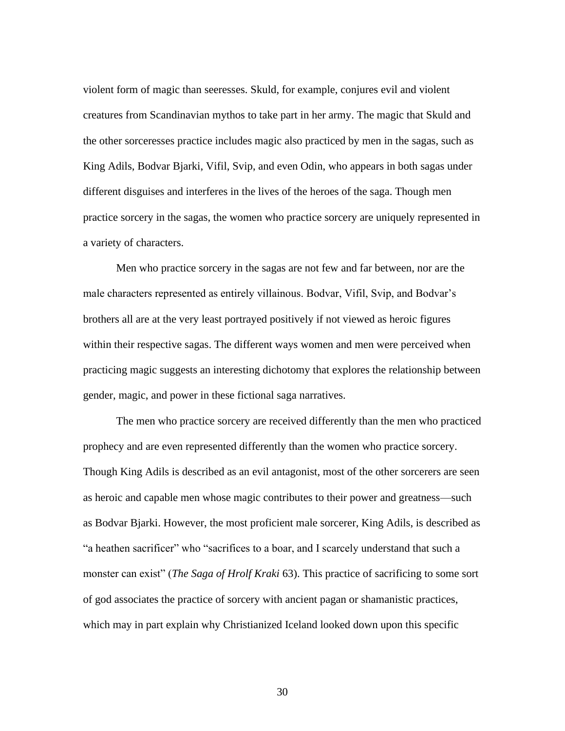violent form of magic than seeresses. Skuld, for example, conjures evil and violent creatures from Scandinavian mythos to take part in her army. The magic that Skuld and the other sorceresses practice includes magic also practiced by men in the sagas, such as King Adils, Bodvar Bjarki, Vifil, Svip, and even Odin, who appears in both sagas under different disguises and interferes in the lives of the heroes of the saga. Though men practice sorcery in the sagas, the women who practice sorcery are uniquely represented in a variety of characters.

Men who practice sorcery in the sagas are not few and far between, nor are the male characters represented as entirely villainous. Bodvar, Vifil, Svip, and Bodvar's brothers all are at the very least portrayed positively if not viewed as heroic figures within their respective sagas. The different ways women and men were perceived when practicing magic suggests an interesting dichotomy that explores the relationship between gender, magic, and power in these fictional saga narratives.

The men who practice sorcery are received differently than the men who practiced prophecy and are even represented differently than the women who practice sorcery. Though King Adils is described as an evil antagonist, most of the other sorcerers are seen as heroic and capable men whose magic contributes to their power and greatness—such as Bodvar Bjarki. However, the most proficient male sorcerer, King Adils, is described as "a heathen sacrificer" who "sacrifices to a boar, and I scarcely understand that such a monster can exist" (*The Saga of Hrolf Kraki* 63). This practice of sacrificing to some sort of god associates the practice of sorcery with ancient pagan or shamanistic practices, which may in part explain why Christianized Iceland looked down upon this specific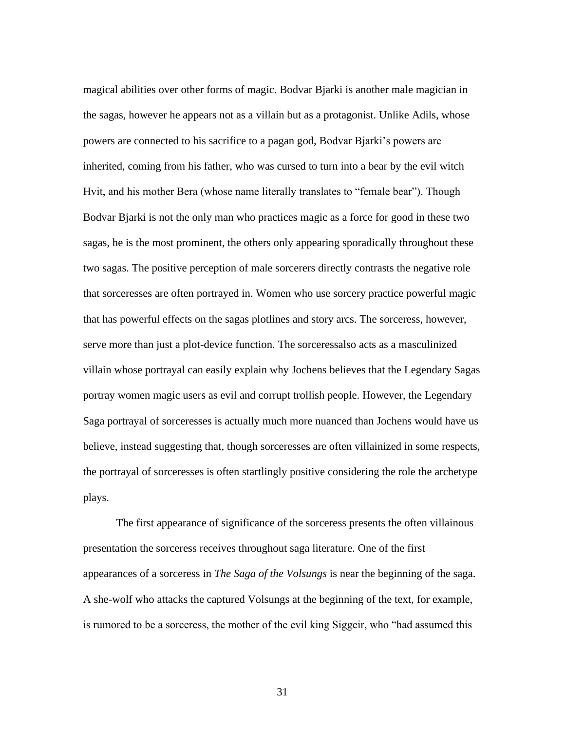magical abilities over other forms of magic. Bodvar Bjarki is another male magician in the sagas, however he appears not as a villain but as a protagonist. Unlike Adils, whose powers are connected to his sacrifice to a pagan god, Bodvar Bjarki's powers are inherited, coming from his father, who was cursed to turn into a bear by the evil witch Hvit, and his mother Bera (whose name literally translates to "female bear"). Though Bodvar Bjarki is not the only man who practices magic as a force for good in these two sagas, he is the most prominent, the others only appearing sporadically throughout these two sagas. The positive perception of male sorcerers directly contrasts the negative role that sorceresses are often portrayed in. Women who use sorcery practice powerful magic that has powerful effects on the sagas plotlines and story arcs. The sorceress, however, serve more than just a plot-device function. The sorceressalso acts as a masculinized villain whose portrayal can easily explain why Jochens believes that the Legendary Sagas portray women magic users as evil and corrupt trollish people. However, the Legendary Saga portrayal of sorceresses is actually much more nuanced than Jochens would have us believe, instead suggesting that, though sorceresses are often villainized in some respects, the portrayal of sorceresses is often startlingly positive considering the role the archetype plays.

The first appearance of significance of the sorceress presents the often villainous presentation the sorceress receives throughout saga literature. One of the first appearances of a sorceress in *The Saga of the Volsungs* is near the beginning of the saga. A she-wolf who attacks the captured Volsungs at the beginning of the text, for example, is rumored to be a sorceress, the mother of the evil king Siggeir, who "had assumed this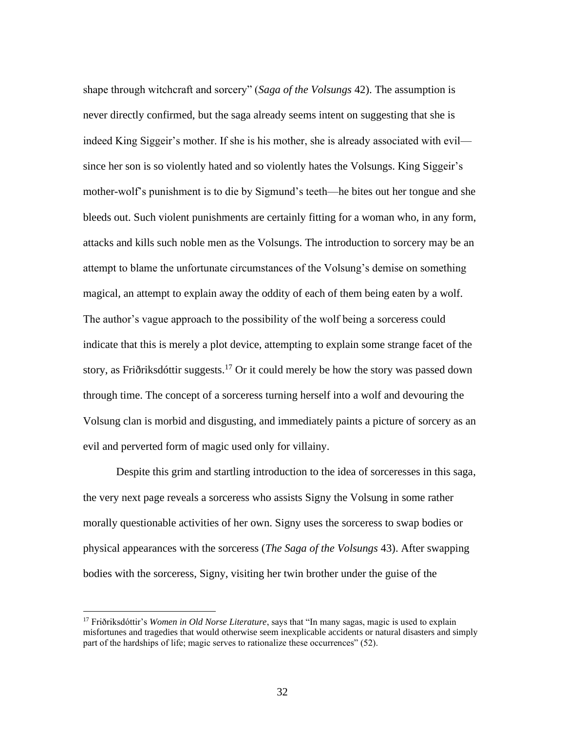shape through witchcraft and sorcery" (*Saga of the Volsungs* 42). The assumption is never directly confirmed, but the saga already seems intent on suggesting that she is indeed King Siggeir's mother. If she is his mother, she is already associated with evil since her son is so violently hated and so violently hates the Volsungs. King Siggeir's mother-wolf's punishment is to die by Sigmund's teeth—he bites out her tongue and she bleeds out. Such violent punishments are certainly fitting for a woman who, in any form, attacks and kills such noble men as the Volsungs. The introduction to sorcery may be an attempt to blame the unfortunate circumstances of the Volsung's demise on something magical, an attempt to explain away the oddity of each of them being eaten by a wolf. The author's vague approach to the possibility of the wolf being a sorceress could indicate that this is merely a plot device, attempting to explain some strange facet of the story, as Friðriksdóttir suggests.<sup>17</sup> Or it could merely be how the story was passed down through time. The concept of a sorceress turning herself into a wolf and devouring the Volsung clan is morbid and disgusting, and immediately paints a picture of sorcery as an evil and perverted form of magic used only for villainy.

Despite this grim and startling introduction to the idea of sorceresses in this saga, the very next page reveals a sorceress who assists Signy the Volsung in some rather morally questionable activities of her own. Signy uses the sorceress to swap bodies or physical appearances with the sorceress (*The Saga of the Volsungs* 43). After swapping bodies with the sorceress, Signy, visiting her twin brother under the guise of the

<sup>17</sup> Friðriksdóttir's *Women in Old Norse Literature*, says that "In many sagas, magic is used to explain misfortunes and tragedies that would otherwise seem inexplicable accidents or natural disasters and simply part of the hardships of life; magic serves to rationalize these occurrences" (52).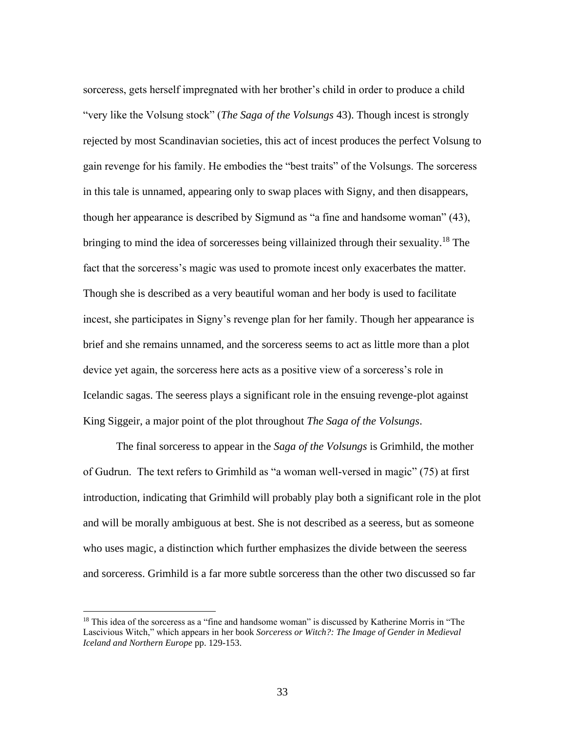sorceress, gets herself impregnated with her brother's child in order to produce a child "very like the Volsung stock" (*The Saga of the Volsungs* 43). Though incest is strongly rejected by most Scandinavian societies, this act of incest produces the perfect Volsung to gain revenge for his family. He embodies the "best traits" of the Volsungs. The sorceress in this tale is unnamed, appearing only to swap places with Signy, and then disappears, though her appearance is described by Sigmund as "a fine and handsome woman" (43), bringing to mind the idea of sorceresses being villainized through their sexuality.<sup>18</sup> The fact that the sorceress's magic was used to promote incest only exacerbates the matter. Though she is described as a very beautiful woman and her body is used to facilitate incest, she participates in Signy's revenge plan for her family. Though her appearance is brief and she remains unnamed, and the sorceress seems to act as little more than a plot device yet again, the sorceress here acts as a positive view of a sorceress's role in Icelandic sagas. The seeress plays a significant role in the ensuing revenge-plot against King Siggeir, a major point of the plot throughout *The Saga of the Volsungs*.

The final sorceress to appear in the *Saga of the Volsungs* is Grimhild, the mother of Gudrun. The text refers to Grimhild as "a woman well-versed in magic" (75) at first introduction, indicating that Grimhild will probably play both a significant role in the plot and will be morally ambiguous at best. She is not described as a seeress, but as someone who uses magic, a distinction which further emphasizes the divide between the seeress and sorceress. Grimhild is a far more subtle sorceress than the other two discussed so far

<sup>&</sup>lt;sup>18</sup> This idea of the sorceress as a "fine and handsome woman" is discussed by Katherine Morris in "The Lascivious Witch," which appears in her book *Sorceress or Witch?: The Image of Gender in Medieval Iceland and Northern Europe* pp. 129-153.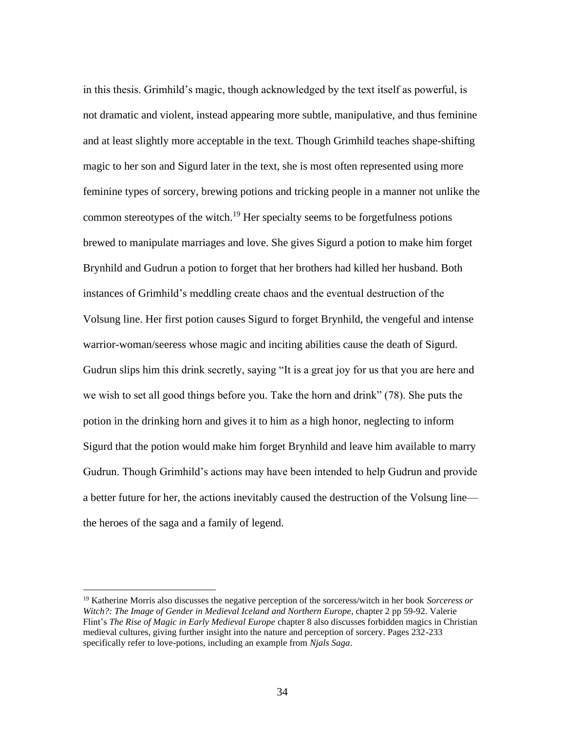in this thesis. Grimhild's magic, though acknowledged by the text itself as powerful, is not dramatic and violent, instead appearing more subtle, manipulative, and thus feminine and at least slightly more acceptable in the text. Though Grimhild teaches shape-shifting magic to her son and Sigurd later in the text, she is most often represented using more feminine types of sorcery, brewing potions and tricking people in a manner not unlike the common stereotypes of the witch.<sup>19</sup> Her specialty seems to be forgetfulness potions brewed to manipulate marriages and love. She gives Sigurd a potion to make him forget Brynhild and Gudrun a potion to forget that her brothers had killed her husband. Both instances of Grimhild's meddling create chaos and the eventual destruction of the Volsung line. Her first potion causes Sigurd to forget Brynhild, the vengeful and intense warrior-woman/seeress whose magic and inciting abilities cause the death of Sigurd. Gudrun slips him this drink secretly, saying "It is a great joy for us that you are here and we wish to set all good things before you. Take the horn and drink" (78). She puts the potion in the drinking horn and gives it to him as a high honor, neglecting to inform Sigurd that the potion would make him forget Brynhild and leave him available to marry Gudrun. Though Grimhild's actions may have been intended to help Gudrun and provide a better future for her, the actions inevitably caused the destruction of the Volsung line the heroes of the saga and a family of legend.

<sup>19</sup> Katherine Morris also discusses the negative perception of the sorceress/witch in her book *Sorceress or Witch?: The Image of Gender in Medieval Iceland and Northern Europe*, chapter 2 pp 59-92. Valerie Flint's *The Rise of Magic in Early Medieval Europe* chapter 8 also discusses forbidden magics in Christian medieval cultures, giving further insight into the nature and perception of sorcery. Pages 232-233 specifically refer to love-potions, including an example from *Njals Saga*.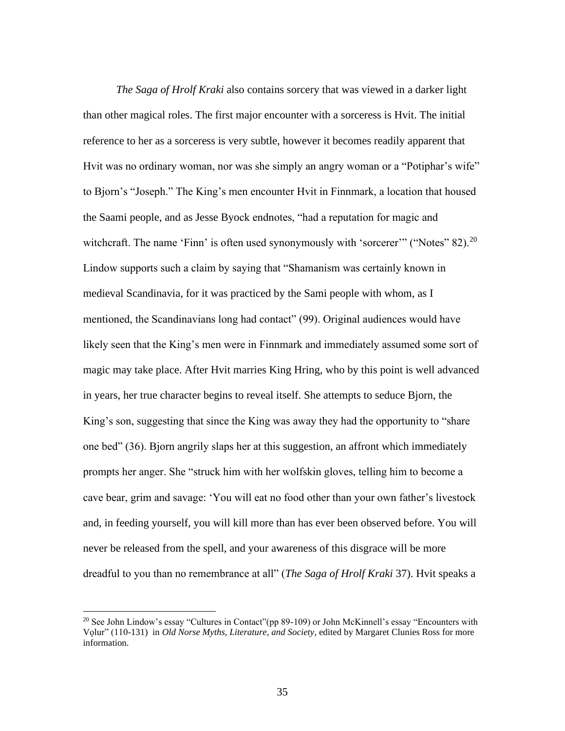*The Saga of Hrolf Kraki* also contains sorcery that was viewed in a darker light than other magical roles. The first major encounter with a sorceress is Hvit. The initial reference to her as a sorceress is very subtle, however it becomes readily apparent that Hvit was no ordinary woman, nor was she simply an angry woman or a "Potiphar's wife" to Bjorn's "Joseph." The King's men encounter Hvit in Finnmark, a location that housed the Saami people, and as Jesse Byock endnotes, "had a reputation for magic and witchcraft. The name 'Finn' is often used synonymously with 'sorcerer'" ("Notes"  $82$ ).<sup>20</sup> Lindow supports such a claim by saying that "Shamanism was certainly known in medieval Scandinavia, for it was practiced by the Sami people with whom, as I mentioned, the Scandinavians long had contact" (99). Original audiences would have likely seen that the King's men were in Finnmark and immediately assumed some sort of magic may take place. After Hvit marries King Hring, who by this point is well advanced in years, her true character begins to reveal itself. She attempts to seduce Bjorn, the King's son, suggesting that since the King was away they had the opportunity to "share one bed" (36). Bjorn angrily slaps her at this suggestion, an affront which immediately prompts her anger. She "struck him with her wolfskin gloves, telling him to become a cave bear, grim and savage: 'You will eat no food other than your own father's livestock and, in feeding yourself, you will kill more than has ever been observed before. You will never be released from the spell, and your awareness of this disgrace will be more dreadful to you than no remembrance at all" (*The Saga of Hrolf Kraki* 37). Hvit speaks a

<sup>&</sup>lt;sup>20</sup> See John Lindow's essay "Cultures in Contact"(pp 89-109) or John McKinnell's essay "Encounters with Vǫlur" (110-131) in *Old Norse Myths, Literature, and Society*, edited by Margaret Clunies Ross for more information.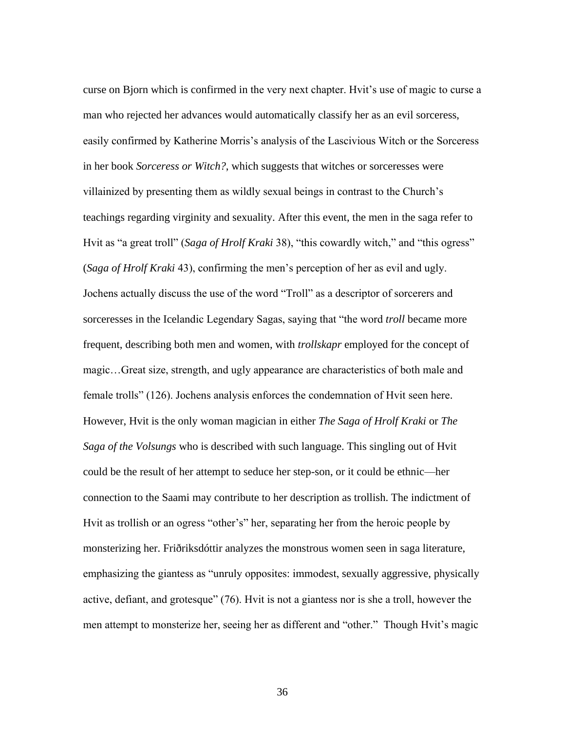curse on Bjorn which is confirmed in the very next chapter. Hvit's use of magic to curse a man who rejected her advances would automatically classify her as an evil sorceress, easily confirmed by Katherine Morris's analysis of the Lascivious Witch or the Sorceress in her book *Sorceress or Witch?*, which suggests that witches or sorceresses were villainized by presenting them as wildly sexual beings in contrast to the Church's teachings regarding virginity and sexuality. After this event, the men in the saga refer to Hvit as "a great troll" (*Saga of Hrolf Kraki* 38), "this cowardly witch," and "this ogress" (*Saga of Hrolf Kraki* 43), confirming the men's perception of her as evil and ugly. Jochens actually discuss the use of the word "Troll" as a descriptor of sorcerers and sorceresses in the Icelandic Legendary Sagas, saying that "the word *troll* became more frequent, describing both men and women, with *trollskapr* employed for the concept of magic…Great size, strength, and ugly appearance are characteristics of both male and female trolls" (126). Jochens analysis enforces the condemnation of Hvit seen here. However, Hvit is the only woman magician in either *The Saga of Hrolf Kraki* or *The Saga of the Volsungs* who is described with such language. This singling out of Hvit could be the result of her attempt to seduce her step-son, or it could be ethnic—her connection to the Saami may contribute to her description as trollish. The indictment of Hvit as trollish or an ogress "other's" her, separating her from the heroic people by monsterizing her. Friðriksdóttir analyzes the monstrous women seen in saga literature, emphasizing the giantess as "unruly opposites: immodest, sexually aggressive, physically active, defiant, and grotesque" (76). Hvit is not a giantess nor is she a troll, however the men attempt to monsterize her, seeing her as different and "other." Though Hvit's magic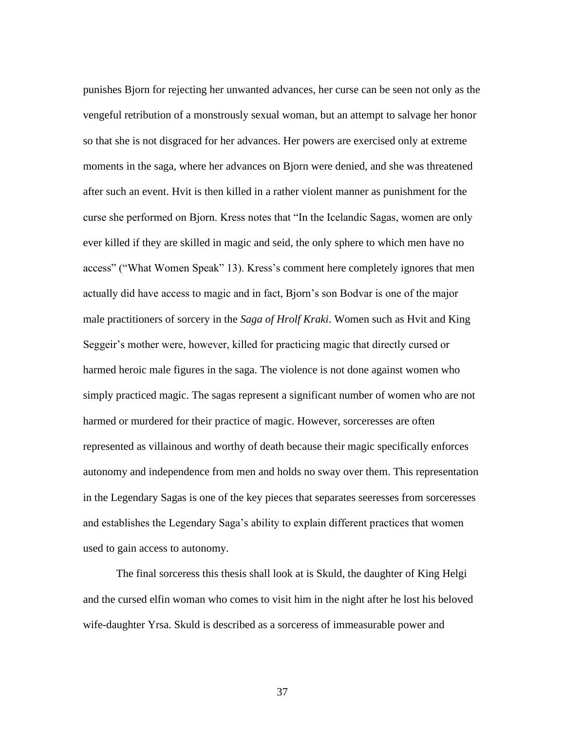punishes Bjorn for rejecting her unwanted advances, her curse can be seen not only as the vengeful retribution of a monstrously sexual woman, but an attempt to salvage her honor so that she is not disgraced for her advances. Her powers are exercised only at extreme moments in the saga, where her advances on Bjorn were denied, and she was threatened after such an event. Hvit is then killed in a rather violent manner as punishment for the curse she performed on Bjorn. Kress notes that "In the Icelandic Sagas, women are only ever killed if they are skilled in magic and seid, the only sphere to which men have no access" ("What Women Speak" 13). Kress's comment here completely ignores that men actually did have access to magic and in fact, Bjorn's son Bodvar is one of the major male practitioners of sorcery in the *Saga of Hrolf Kraki*. Women such as Hvit and King Seggeir's mother were, however, killed for practicing magic that directly cursed or harmed heroic male figures in the saga. The violence is not done against women who simply practiced magic. The sagas represent a significant number of women who are not harmed or murdered for their practice of magic. However, sorceresses are often represented as villainous and worthy of death because their magic specifically enforces autonomy and independence from men and holds no sway over them. This representation in the Legendary Sagas is one of the key pieces that separates seeresses from sorceresses and establishes the Legendary Saga's ability to explain different practices that women used to gain access to autonomy.

The final sorceress this thesis shall look at is Skuld, the daughter of King Helgi and the cursed elfin woman who comes to visit him in the night after he lost his beloved wife-daughter Yrsa. Skuld is described as a sorceress of immeasurable power and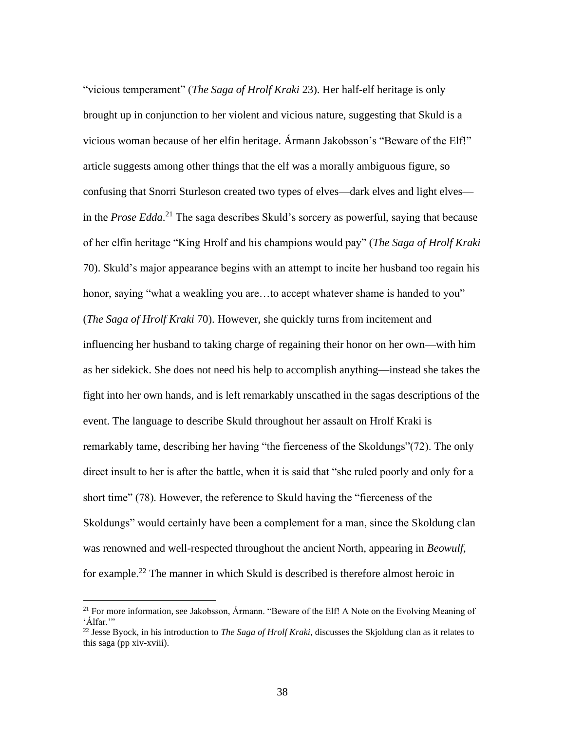"vicious temperament" (*The Saga of Hrolf Kraki* 23). Her half-elf heritage is only brought up in conjunction to her violent and vicious nature, suggesting that Skuld is a vicious woman because of her elfin heritage. Ármann Jakobsson's "Beware of the Elf!" article suggests among other things that the elf was a morally ambiguous figure, so confusing that Snorri Sturleson created two types of elves—dark elves and light elves in the *Prose Edda*. <sup>21</sup> The saga describes Skuld's sorcery as powerful, saying that because of her elfin heritage "King Hrolf and his champions would pay" (*The Saga of Hrolf Kraki* 70). Skuld's major appearance begins with an attempt to incite her husband too regain his honor, saying "what a weakling you are...to accept whatever shame is handed to you" (*The Saga of Hrolf Kraki* 70). However, she quickly turns from incitement and influencing her husband to taking charge of regaining their honor on her own—with him as her sidekick. She does not need his help to accomplish anything—instead she takes the fight into her own hands, and is left remarkably unscathed in the sagas descriptions of the event. The language to describe Skuld throughout her assault on Hrolf Kraki is remarkably tame, describing her having "the fierceness of the Skoldungs"(72). The only direct insult to her is after the battle, when it is said that "she ruled poorly and only for a short time" (78). However, the reference to Skuld having the "fierceness of the Skoldungs" would certainly have been a complement for a man, since the Skoldung clan was renowned and well-respected throughout the ancient North, appearing in *Beowulf,*  for example.<sup>22</sup> The manner in which Skuld is described is therefore almost heroic in

<sup>&</sup>lt;sup>21</sup> For more information, see Jakobsson, Ármann. "Beware of the Elf! A Note on the Evolving Meaning of 'Álfar."

<sup>22</sup> Jesse Byock, in his introduction to *The Saga of Hrolf Kraki*, discusses the Skjoldung clan as it relates to this saga (pp xiv-xviii).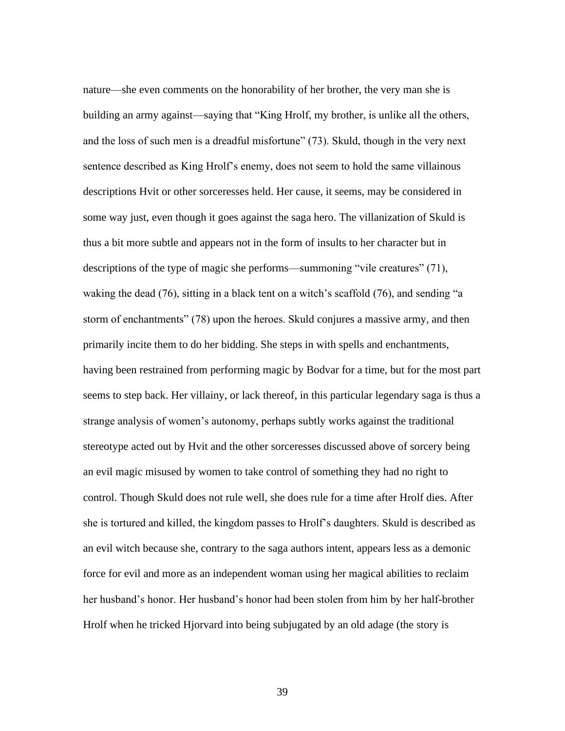nature—she even comments on the honorability of her brother, the very man she is building an army against—saying that "King Hrolf, my brother, is unlike all the others, and the loss of such men is a dreadful misfortune" (73). Skuld, though in the very next sentence described as King Hrolf's enemy, does not seem to hold the same villainous descriptions Hvit or other sorceresses held. Her cause, it seems, may be considered in some way just, even though it goes against the saga hero. The villanization of Skuld is thus a bit more subtle and appears not in the form of insults to her character but in descriptions of the type of magic she performs—summoning "vile creatures" (71), waking the dead (76), sitting in a black tent on a witch's scaffold (76), and sending "a storm of enchantments" (78) upon the heroes. Skuld conjures a massive army, and then primarily incite them to do her bidding. She steps in with spells and enchantments, having been restrained from performing magic by Bodvar for a time, but for the most part seems to step back. Her villainy, or lack thereof, in this particular legendary saga is thus a strange analysis of women's autonomy, perhaps subtly works against the traditional stereotype acted out by Hvit and the other sorceresses discussed above of sorcery being an evil magic misused by women to take control of something they had no right to control. Though Skuld does not rule well, she does rule for a time after Hrolf dies. After she is tortured and killed, the kingdom passes to Hrolf's daughters. Skuld is described as an evil witch because she, contrary to the saga authors intent, appears less as a demonic force for evil and more as an independent woman using her magical abilities to reclaim her husband's honor. Her husband's honor had been stolen from him by her half-brother Hrolf when he tricked Hjorvard into being subjugated by an old adage (the story is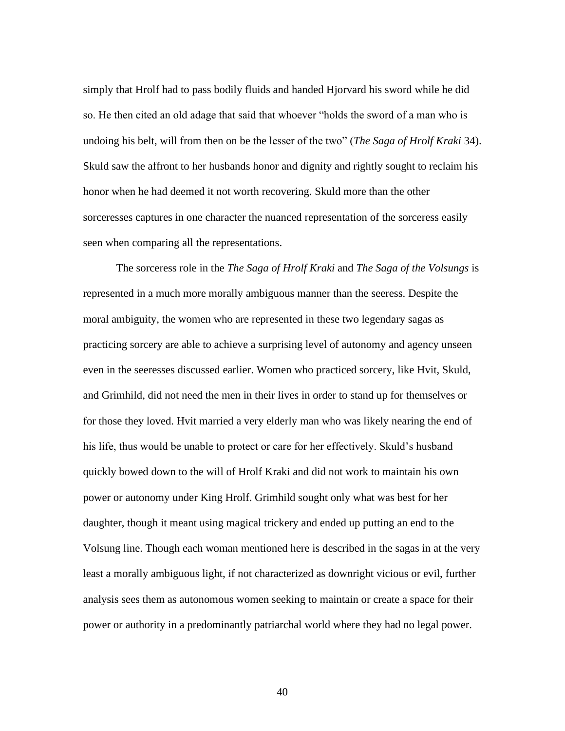simply that Hrolf had to pass bodily fluids and handed Hjorvard his sword while he did so. He then cited an old adage that said that whoever "holds the sword of a man who is undoing his belt, will from then on be the lesser of the two" (*The Saga of Hrolf Kraki* 34). Skuld saw the affront to her husbands honor and dignity and rightly sought to reclaim his honor when he had deemed it not worth recovering. Skuld more than the other sorceresses captures in one character the nuanced representation of the sorceress easily seen when comparing all the representations.

The sorceress role in the *The Saga of Hrolf Kraki* and *The Saga of the Volsungs* is represented in a much more morally ambiguous manner than the seeress. Despite the moral ambiguity, the women who are represented in these two legendary sagas as practicing sorcery are able to achieve a surprising level of autonomy and agency unseen even in the seeresses discussed earlier. Women who practiced sorcery, like Hvit, Skuld, and Grimhild, did not need the men in their lives in order to stand up for themselves or for those they loved. Hvit married a very elderly man who was likely nearing the end of his life, thus would be unable to protect or care for her effectively. Skuld's husband quickly bowed down to the will of Hrolf Kraki and did not work to maintain his own power or autonomy under King Hrolf. Grimhild sought only what was best for her daughter, though it meant using magical trickery and ended up putting an end to the Volsung line. Though each woman mentioned here is described in the sagas in at the very least a morally ambiguous light, if not characterized as downright vicious or evil, further analysis sees them as autonomous women seeking to maintain or create a space for their power or authority in a predominantly patriarchal world where they had no legal power.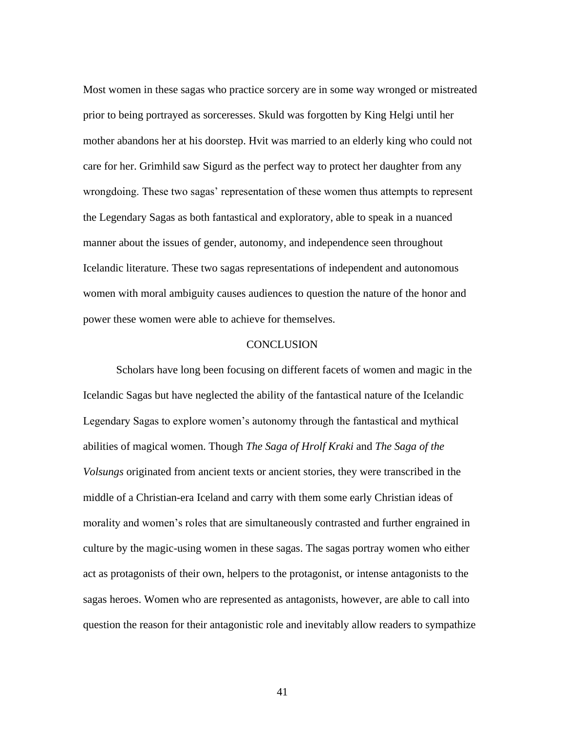Most women in these sagas who practice sorcery are in some way wronged or mistreated prior to being portrayed as sorceresses. Skuld was forgotten by King Helgi until her mother abandons her at his doorstep. Hvit was married to an elderly king who could not care for her. Grimhild saw Sigurd as the perfect way to protect her daughter from any wrongdoing. These two sagas' representation of these women thus attempts to represent the Legendary Sagas as both fantastical and exploratory, able to speak in a nuanced manner about the issues of gender, autonomy, and independence seen throughout Icelandic literature. These two sagas representations of independent and autonomous women with moral ambiguity causes audiences to question the nature of the honor and power these women were able to achieve for themselves.

#### **CONCLUSION**

Scholars have long been focusing on different facets of women and magic in the Icelandic Sagas but have neglected the ability of the fantastical nature of the Icelandic Legendary Sagas to explore women's autonomy through the fantastical and mythical abilities of magical women. Though *The Saga of Hrolf Kraki* and *The Saga of the Volsungs* originated from ancient texts or ancient stories, they were transcribed in the middle of a Christian-era Iceland and carry with them some early Christian ideas of morality and women's roles that are simultaneously contrasted and further engrained in culture by the magic-using women in these sagas. The sagas portray women who either act as protagonists of their own, helpers to the protagonist, or intense antagonists to the sagas heroes. Women who are represented as antagonists, however, are able to call into question the reason for their antagonistic role and inevitably allow readers to sympathize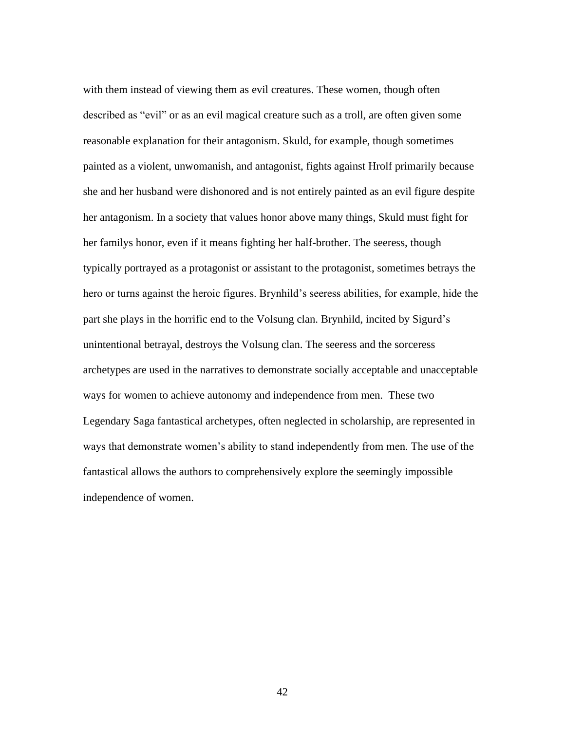with them instead of viewing them as evil creatures. These women, though often described as "evil" or as an evil magical creature such as a troll, are often given some reasonable explanation for their antagonism. Skuld, for example, though sometimes painted as a violent, unwomanish, and antagonist, fights against Hrolf primarily because she and her husband were dishonored and is not entirely painted as an evil figure despite her antagonism. In a society that values honor above many things, Skuld must fight for her familys honor, even if it means fighting her half-brother. The seeress, though typically portrayed as a protagonist or assistant to the protagonist, sometimes betrays the hero or turns against the heroic figures. Brynhild's seeress abilities, for example, hide the part she plays in the horrific end to the Volsung clan. Brynhild, incited by Sigurd's unintentional betrayal, destroys the Volsung clan. The seeress and the sorceress archetypes are used in the narratives to demonstrate socially acceptable and unacceptable ways for women to achieve autonomy and independence from men. These two Legendary Saga fantastical archetypes, often neglected in scholarship, are represented in ways that demonstrate women's ability to stand independently from men. The use of the fantastical allows the authors to comprehensively explore the seemingly impossible independence of women.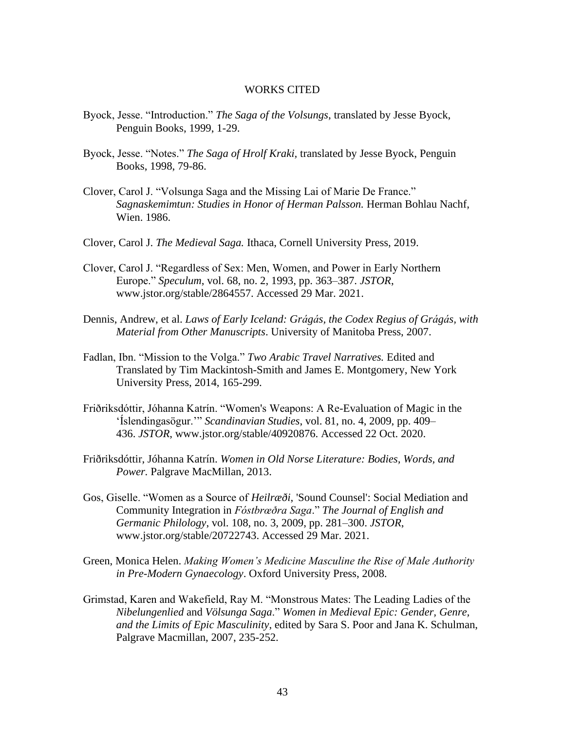#### WORKS CITED

- Byock, Jesse. "Introduction." *The Saga of the Volsungs*, translated by Jesse Byock, Penguin Books, 1999, 1-29.
- Byock, Jesse. "Notes." *The Saga of Hrolf Kraki,* translated by Jesse Byock, Penguin Books, 1998, 79-86.
- Clover, Carol J. "Volsunga Saga and the Missing Lai of Marie De France." *Sagnaskemimtun: Studies in Honor of Herman Palsson.* Herman Bohlau Nachf, Wien. 1986.
- Clover, Carol J. *The Medieval Saga.* Ithaca, Cornell University Press, 2019.
- Clover, Carol J. "Regardless of Sex: Men, Women, and Power in Early Northern Europe." *Speculum*, vol. 68, no. 2, 1993, pp. 363–387. *JSTOR*, [www.jstor.org/stable/2864557. Accessed 29 Mar. 2021.](http://www.jstor.org/stable/2864557.%20Accessed%2029%20Mar.%202021)
- Dennis, Andrew, et al. *Laws of Early Iceland: Grágás, the Codex Regius of Grágás, with Material from Other Manuscripts*. University of Manitoba Press, 2007.
- Fadlan, Ibn. "Mission to the Volga." *Two Arabic Travel Narratives.* Edited and Translated by Tim Mackintosh-Smith and James E. Montgomery, New York University Press, 2014, 165-299.
- Friðriksdóttir, Jóhanna Katrín. "Women's Weapons: A Re-Evaluation of Magic in the 'Íslendingasögur.'" *Scandinavian Studies*, vol. 81, no. 4, 2009, pp. 409– 436. *JSTOR*, www.jstor.org/stable/40920876. Accessed 22 Oct. 2020.
- Friðriksdóttir, Jóhanna Katrín. *Women in Old Norse Literature: Bodies, Words, and Power.* Palgrave MacMillan, 2013.
- Gos, Giselle. "Women as a Source of *Heilræði*, 'Sound Counsel': Social Mediation and Community Integration in *Fóstbrœðra Saga*." *The Journal of English and Germanic Philology*, vol. 108, no. 3, 2009, pp. 281–300. *JSTOR*, www.jstor.org/stable/20722743. Accessed 29 Mar. 2021.
- Green, Monica Helen. *Making Women's Medicine Masculine the Rise of Male Authority in Pre-Modern Gynaecology*. Oxford University Press, 2008.
- Grimstad, Karen and Wakefield, Ray M. "Monstrous Mates: The Leading Ladies of the *Nibelungenlied* and *Völsunga Saga*." *Women in Medieval Epic: Gender, Genre, and the Limits of Epic Masculinity*, edited by Sara S. Poor and Jana K. Schulman, Palgrave Macmillan, 2007, 235-252.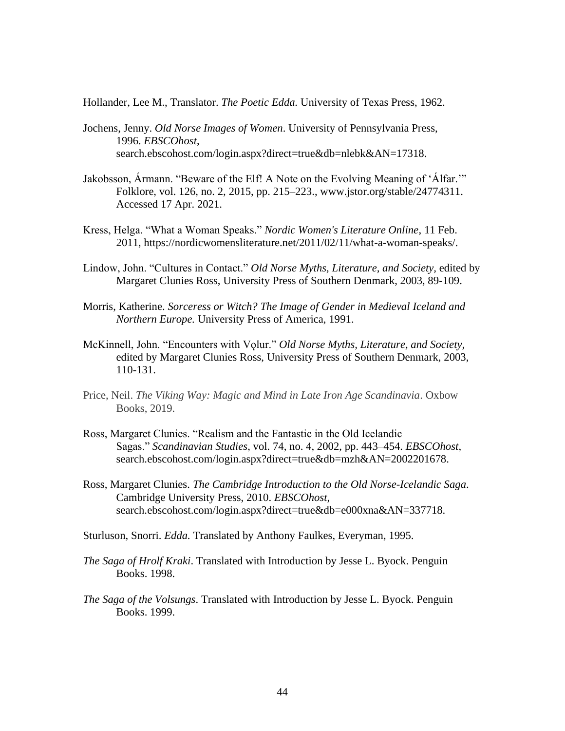Hollander, Lee M., Translator. *The Poetic Edda.* University of Texas Press, 1962.

- Jochens, Jenny. *Old Norse Images of Women*. University of Pennsylvania Press, 1996. *EBSCOhost*, search.ebscohost.com/login.aspx?direct=true&db=nlebk&AN=17318.
- Jakobsson, Ármann. "Beware of the Elf! A Note on the Evolving Meaning of 'Álfar.'" Folklore, vol. 126, no. 2, 2015, pp. 215–223., www.jstor.org/stable/24774311. Accessed 17 Apr. 2021.
- Kress, Helga. "What a Woman Speaks." *Nordic Women's Literature Online*, 11 Feb. 2011, [https://nordicwomensliterature.net/2011/02/11/what-a-woman-speaks/.](https://nordicwomensliterature.net/2011/02/11/what-a-woman-speaks/)
- Lindow, John. "Cultures in Contact." *Old Norse Myths, Literature, and Society,* edited by Margaret Clunies Ross, University Press of Southern Denmark, 2003, 89-109.
- Morris, Katherine. *Sorceress or Witch? The Image of Gender in Medieval Iceland and Northern Europe.* University Press of America, 1991.
- McKinnell, John. "Encounters with Volur." *Old Norse Myths, Literature, and Society,* edited by Margaret Clunies Ross, University Press of Southern Denmark, 2003, 110-131.
- Price, Neil. *The Viking Way: Magic and Mind in Late Iron Age Scandinavia*. Oxbow Books, 2019.
- Ross, Margaret Clunies. "Realism and the Fantastic in the Old Icelandic Sagas." *Scandinavian Studies*, vol. 74, no. 4, 2002, pp. 443–454. *EBSCOhost*, search.ebscohost.com/login.aspx?direct=true&db=mzh&AN=2002201678.
- Ross, Margaret Clunies. *The Cambridge Introduction to the Old Norse-Icelandic Saga*. Cambridge University Press, 2010. *EBSCOhost*, search.ebscohost.com/login.aspx?direct=true&db=e000xna&AN=337718.

Sturluson, Snorri. *Edda.* Translated by Anthony Faulkes, Everyman, 1995.

- *The Saga of Hrolf Kraki*. Translated with Introduction by Jesse L. Byock. Penguin Books. 1998.
- *The Saga of the Volsungs*. Translated with Introduction by Jesse L. Byock. Penguin Books. 1999.